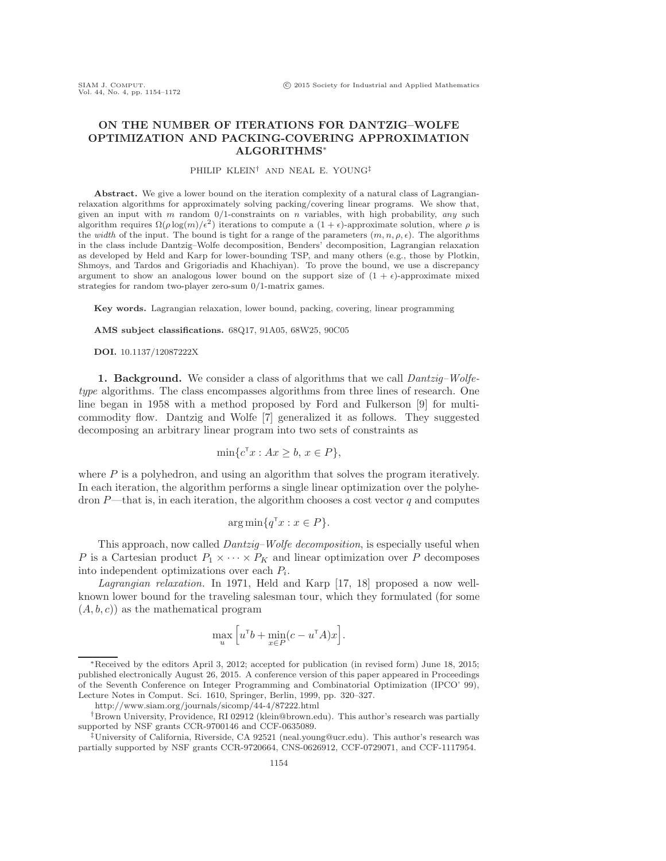## ON THE NUMBER OF ITERATIONS FOR DANTZIG–WOLFE OPTIMIZATION AND PACKING-COVERING APPROXIMATION ALGORITHMS∗

### PHILIP KLEIN† AND NEAL E. YOUNG‡

Abstract. We give a lower bound on the iteration complexity of a natural class of Lagrangianrelaxation algorithms for approximately solving packing/covering linear programs. We show that, given an input with m random  $0/1$ -constraints on n variables, with high probability, any such algorithm requires  $\Omega(\rho \log(m)/\epsilon^2)$  iterations to compute a  $(1 + \epsilon)$ -approximate solution, where  $\rho$  is the width of the input. The bound is tight for a range of the parameters  $(m, n, \rho, \epsilon)$ . The algorithms in the class include Dantzig–Wolfe decomposition, Benders' decomposition, Lagrangian relaxation as developed by Held and Karp for lower-bounding TSP, and many others (e.g., those by Plotkin, Shmoys, and Tardos and Grigoriadis and Khachiyan). To prove the bound, we use a discrepancy argument to show an analogous lower bound on the support size of  $(1 + \epsilon)$ -approximate mixed strategies for random two-player zero-sum 0/1-matrix games.

Key words. Lagrangian relaxation, lower bound, packing, covering, linear programming

AMS subject classifications. 68Q17, 91A05, 68W25, 90C05

DOI. 10.1137/12087222X

**1. Background.** We consider a class of algorithms that we call *Dantzig–Wolfe*type algorithms. The class encompasses algorithms from three lines of research. One line began in 1958 with a method proposed by Ford and Fulkerson [\[9\]](#page-17-0) for multicommodity flow. Dantzig and Wolfe [\[7\]](#page-17-1) generalized it as follows. They suggested decomposing an arbitrary linear program into two sets of constraints as

$$
\min\{c^{\mathsf{T}}x : Ax \ge b, x \in P\},\
$$

where  $P$  is a polyhedron, and using an algorithm that solves the program iteratively. In each iteration, the algorithm performs a single linear optimization over the polyhedron  $P$ —that is, in each iteration, the algorithm chooses a cost vector q and computes

$$
\arg\min\{q^{\mathsf{T}}x : x \in P\}.
$$

This approach, now called *Dantzig–Wolfe decomposition*, is especially useful when P is a Cartesian product  $P_1 \times \cdots \times P_K$  and linear optimization over P decomposes into independent optimizations over each  $P_i$ .

Lagrangian relaxation. In 1971, Held and Karp [\[17,](#page-17-2) [18\]](#page-17-3) proposed a now wellknown lower bound for the traveling salesman tour, which they formulated (for some  $(A, b, c)$  as the mathematical program

$$
\max_u \Big[ u^\mathsf{T} b + \min_{x \in P} (c - u^\mathsf{T} A) x \Big].
$$

<sup>∗</sup>Received by the editors April 3, 2012; accepted for publication (in revised form) June 18, 2015; published electronically August 26, 2015. A conference version of this paper appeared in Proceedings of the Seventh Conference on Integer Programming and Combinatorial Optimization (IPCO' 99), Lecture Notes in Comput. Sci. 1610, Springer, Berlin, 1999, pp. 320–327.

<http://www.siam.org/journals/sicomp/44-4/87222.html>

<sup>†</sup>Brown University, Providence, RI 02912 [\(klein@brown.edu\)](mailto:klein@brown.edu). This author's research was partially supported by NSF grants CCR-9700146 and CCF-0635089.

<sup>‡</sup>University of California, Riverside, CA 92521 [\(neal.young@ucr.edu\)](mailto:neal.young@ucr.edu). This author's research was partially supported by NSF grants CCR-9720664, CNS-0626912, CCF-0729071, and CCF-1117954.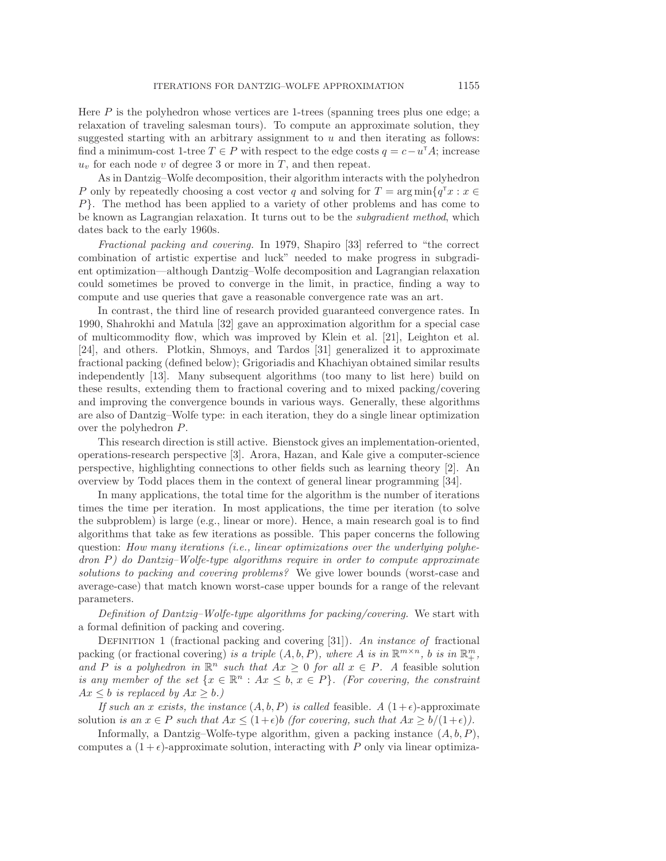Here P is the polyhedron whose vertices are 1-trees (spanning trees plus one edge; a relaxation of traveling salesman tours). To compute an approximate solution, they suggested starting with an arbitrary assignment to  $u$  and then iterating as follows: find a minimum-cost 1-tree  $T \in P$  with respect to the edge costs  $q = c - u^T A$ ; increase  $u<sub>v</sub>$  for each node v of degree 3 or more in T, and then repeat.

As in Dantzig–Wolfe decomposition, their algorithm interacts with the polyhedron P only by repeatedly choosing a cost vector q and solving for  $T = \arg \min \{q^{\mathsf{T}} x : x \in$ P}. The method has been applied to a variety of other problems and has come to be known as Lagrangian relaxation. It turns out to be the subgradient method, which dates back to the early 1960s.

Fractional packing and covering. In 1979, Shapiro [\[33\]](#page-17-4) referred to "the correct combination of artistic expertise and luck" needed to make progress in subgradient optimization—although Dantzig–Wolfe decomposition and Lagrangian relaxation could sometimes be proved to converge in the limit, in practice, finding a way to compute and use queries that gave a reasonable convergence rate was an art.

In contrast, the third line of research provided guaranteed convergence rates. In 1990, Shahrokhi and Matula [\[32\]](#page-17-5) gave an approximation algorithm for a special case of multicommodity flow, which was improved by Klein et al. [\[21\]](#page-17-6), Leighton et al. [\[24\]](#page-17-7), and others. Plotkin, Shmoys, and Tardos [\[31\]](#page-17-8) generalized it to approximate fractional packing (defined below); Grigoriadis and Khachiyan obtained similar results independently [\[13\]](#page-17-9). Many subsequent algorithms (too many to list here) build on these results, extending them to fractional covering and to mixed packing/covering and improving the convergence bounds in various ways. Generally, these algorithms are also of Dantzig–Wolfe type: in each iteration, they do a single linear optimization over the polyhedron P.

This research direction is still active. Bienstock gives an implementation-oriented, operations-research perspective [\[3\]](#page-16-0). Arora, Hazan, and Kale give a computer-science perspective, highlighting connections to other fields such as learning theory [\[2\]](#page-16-1). An overview by Todd places them in the context of general linear programming [\[34\]](#page-18-0).

In many applications, the total time for the algorithm is the number of iterations times the time per iteration. In most applications, the time per iteration (to solve the subproblem) is large (e.g., linear or more). Hence, a main research goal is to find algorithms that take as few iterations as possible. This paper concerns the following question: How many iterations (i.e., linear optimizations over the underlying polyhedron P) do Dantzig–Wolfe-type algorithms require in order to compute approximate solutions to packing and covering problems? We give lower bounds (worst-case and average-case) that match known worst-case upper bounds for a range of the relevant parameters.

Definition of Dantzig–Wolfe-type algorithms for packing/covering. We start with a formal definition of packing and covering.

DEFINITION 1 (fractional packing and covering [\[31\]](#page-17-8)). An instance of fractional packing (or fractional covering) is a triple  $(A, b, P)$ , where A is in  $\mathbb{R}^{m \times n}$ , b is in  $\mathbb{R}^m_+$ , and P is a polyhedron in  $\mathbb{R}^n$  such that  $Ax \geq 0$  for all  $x \in P$ . A feasible solution is any member of the set  $\{x \in \mathbb{R}^n : Ax \leq b, x \in P\}$ . (For covering, the constraint  $Ax \leq b$  is replaced by  $Ax \geq b$ .)

If such an x exists, the instance  $(A, b, P)$  is called feasible. A  $(1+\epsilon)$ -approximate solution is an  $x \in P$  such that  $Ax \leq (1+\epsilon)b$  (for covering, such that  $Ax \geq b/(1+\epsilon)$ ).

Informally, a Dantzig–Wolfe-type algorithm, given a packing instance  $(A, b, P)$ , computes a  $(1+\epsilon)$ -approximate solution, interacting with P only via linear optimiza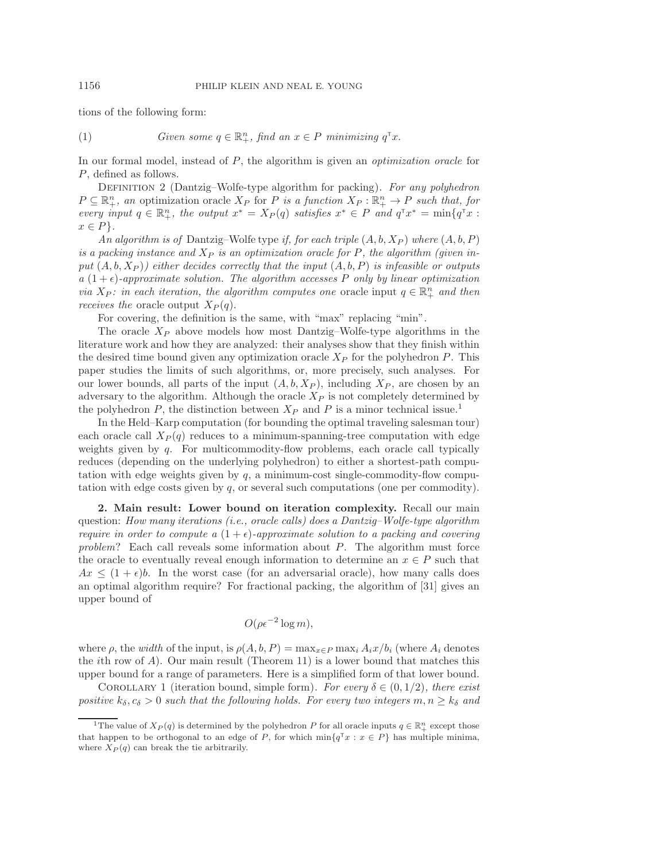tions of the following form:

(1) Given some 
$$
q \in \mathbb{R}^n_+
$$
, find an  $x \in P$  minimizing  $q^T x$ .

<span id="page-2-1"></span>In our formal model, instead of P, the algorithm is given an *optimization oracle* for P, defined as follows.

DEFINITION 2 (Dantzig–Wolfe-type algorithm for packing). For any polyhedron  $P \subseteq \mathbb{R}^n_+$ , an optimization oracle  $X_P$  for P is a function  $X_P : \mathbb{R}^n_+ \to P$  such that, for every input  $q \in \mathbb{R}^n_+$ , the output  $x^* = X_P(q)$  satisfies  $x^* \in P$  and  $q^{\mathsf{T}}x^* = \min\{q^{\mathsf{T}}x :$  $x \in P$ .

An algorithm is of Dantzig–Wolfe type if, for each triple  $(A, b, X_P)$  where  $(A, b, P)$ is a packing instance and  $X_P$  is an optimization oracle for P, the algorithm (given input  $(A, b, X_P)$  either decides correctly that the input  $(A, b, P)$  is infeasible or outputs  $a(1+\epsilon)$ -approximate solution. The algorithm accesses P only by linear optimization via  $X_P$ : in each iteration, the algorithm computes one oracle input  $q \in \mathbb{R}^n_+$  and then receives the oracle output  $X_P(q)$ .

For covering, the definition is the same, with "max" replacing "min".

The oracle  $X_P$  above models how most Dantzig–Wolfe-type algorithms in the literature work and how they are analyzed: their analyses show that they finish within the desired time bound given any optimization oracle  $X_P$  for the polyhedron P. This paper studies the limits of such algorithms, or, more precisely, such analyses. For our lower bounds, all parts of the input  $(A, b, X_P)$ , including  $X_P$ , are chosen by an adversary to the algorithm. Although the oracle  $X_P$  is not completely determined by the polyhedron P, the distinction between  $X_P$  and P is a minor technical issue.<sup>[1](#page-2-0)</sup>

In the Held–Karp computation (for bounding the optimal traveling salesman tour) each oracle call  $X_P(q)$  reduces to a minimum-spanning-tree computation with edge weights given by  $q$ . For multicommodity-flow problems, each oracle call typically reduces (depending on the underlying polyhedron) to either a shortest-path computation with edge weights given by  $q$ , a minimum-cost single-commodity-flow computation with edge costs given by q, or several such computations (one per commodity).

2. Main result: Lower bound on iteration complexity. Recall our main question: How many iterations (i.e., oracle calls) does a Dantzig–Wolfe-type algorithm require in order to compute a  $(1+\epsilon)$ -approximate solution to a packing and covering problem? Each call reveals some information about P. The algorithm must force the oracle to eventually reveal enough information to determine an  $x \in P$  such that  $Ax \leq (1+\epsilon)b$ . In the worst case (for an adversarial oracle), how many calls does an optimal algorithm require? For fractional packing, the algorithm of [\[31\]](#page-17-8) gives an upper bound of

<span id="page-2-2"></span>
$$
O(\rho \epsilon^{-2} \log m),
$$

where  $\rho$ , the *width* of the input, is  $\rho(A, b, P) = \max_{x \in P} \max_i A_i x/b_i$  (where  $A_i$  denotes the *i*th row of  $A$ ). Our main result (Theorem [11\)](#page-14-0) is a lower bound that matches this upper bound for a range of parameters. Here is a simplified form of that lower bound.

COROLLARY 1 (iteration bound, simple form). For every  $\delta \in (0, 1/2)$ , there exist positive  $k_{\delta}, c_{\delta} > 0$  such that the following holds. For every two integers  $m, n \geq k_{\delta}$  and

<span id="page-2-0"></span><sup>&</sup>lt;sup>1</sup>The value of  $X_P(q)$  is determined by the polyhedron P for all oracle inputs  $q \in \mathbb{R}^n_+$  except those that happen to be orthogonal to an edge of P, for which  $\min\{q^{\mathsf{T}}x : x \in P\}$  has multiple minima, where  $X_P(q)$  can break the tie arbitrarily.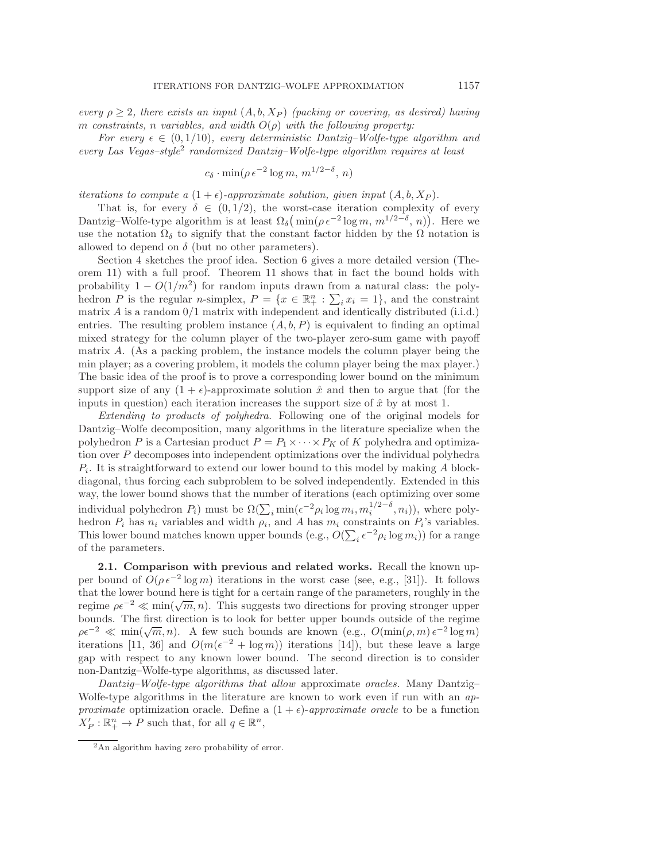every  $\rho \geq 2$ , there exists an input  $(A, b, X_P)$  (packing or covering, as desired) having m constraints, n variables, and width  $O(\rho)$  with the following property:

For every  $\epsilon \in (0, 1/10)$ , every deterministic Dantzig–Wolfe-type algorithm and every Las Vegas–style[2](#page-3-0) randomized Dantzig–Wolfe-type algorithm requires at least

$$
c_{\delta} \cdot \min(\rho \epsilon^{-2} \log m, m^{1/2-\delta}, n)
$$

iterations to compute a  $(1+\epsilon)$ -approximate solution, given input  $(A, b, X_P)$ .

That is, for every  $\delta \in (0, 1/2)$ , the worst-case iteration complexity of every Dantzig–Wolfe-type algorithm is at least  $\Omega_{\delta}(\min(\rho \epsilon^{-2} \log m, m^{1/2-\delta}, n))$ . Here we use the notation  $\Omega_{\delta}$  to signify that the constant factor hidden by the  $\Omega$  notation is allowed to depend on  $\delta$  (but no other parameters).

Section [4](#page-6-0) sketches the proof idea. Section [6](#page-12-0) gives a more detailed version (Theorem [11\)](#page-14-0) with a full proof. Theorem [11](#page-14-0) shows that in fact the bound holds with probability  $1 - O(1/m^2)$  for random inputs drawn from a natural class: the polyhedron P is the regular n-simplex,  $P = \{x \in \mathbb{R}_+^n : \sum_i x_i = 1\}$ , and the constraint matrix  $\vec{A}$  is a random  $0/1$  matrix with independent and identically distributed (i.i.d.) entries. The resulting problem instance  $(A, b, P)$  is equivalent to finding an optimal mixed strategy for the column player of the two-player zero-sum game with payoff matrix A. (As a packing problem, the instance models the column player being the min player; as a covering problem, it models the column player being the max player.) The basic idea of the proof is to prove a corresponding lower bound on the minimum support size of any  $(1 + \epsilon)$ -approximate solution  $\hat{x}$  and then to argue that (for the inputs in question) each iteration increases the support size of  $\hat{x}$  by at most 1.

Extending to products of polyhedra. Following one of the original models for Dantzig–Wolfe decomposition, many algorithms in the literature specialize when the polyhedron P is a Cartesian product  $P = P_1 \times \cdots \times P_K$  of K polyhedra and optimization over P decomposes into independent optimizations over the individual polyhedra  $P_i$ . It is straightforward to extend our lower bound to this model by making A blockdiagonal, thus forcing each subproblem to be solved independently. Extended in this way, the lower bound shows that the number of iterations (each optimizing over some individual polyhedron  $P_i$ ) must be  $\Omega(\sum_i \min(\epsilon^{-2} \rho_i \log m_i, m_i^{1/2-\delta}, n_i)),$  where polyhedron  $P_i$  has  $n_i$  variables and width  $\rho_i$ , and A has  $m_i$  constraints on  $P_i$ 's variables. This lower bound matches known upper bounds  $(e.g., O(\sum_i \epsilon^{-2} \rho_i \log m_i))$  for a range of the parameters.

2.1. Comparison with previous and related works. Recall the known upper bound of  $O(\rho \epsilon^{-2} \log m)$  iterations in the worst case (see, e.g., [\[31\]](#page-17-8)). It follows that the lower bound here is tight for a certain range of the parameters, roughly in the regime  $\rho \epsilon^{-2} \ll \min(\sqrt{m}, n)$ . This suggests two directions for proving stronger upper bounds. The first direction is to look for better upper bounds outside of the regime  $\rho \epsilon^{-2} \ll \min(\sqrt{m}, n)$ . A few such bounds are known (e.g.,  $O(\min(\rho, m) \epsilon^{-2} \log m)$ ) iterations [\[11,](#page-17-10) [36\]](#page-18-1) and  $O(m(\epsilon^{-2} + \log m))$  iterations [\[14\]](#page-17-11)), but these leave a large gap with respect to any known lower bound. The second direction is to consider non-Dantzig–Wolfe-type algorithms, as discussed later.

Dantzig–Wolfe-type algorithms that allow approximate oracles. Many Dantzig– Wolfe-type algorithms in the literature are known to work even if run with an approximate optimization oracle. Define a  $(1 + \epsilon)$ -approximate oracle to be a function  $X'_P : \mathbb{R}^n_+ \to P$  such that, for all  $q \in \mathbb{R}^n$ ,

<span id="page-3-0"></span><sup>2</sup>An algorithm having zero probability of error.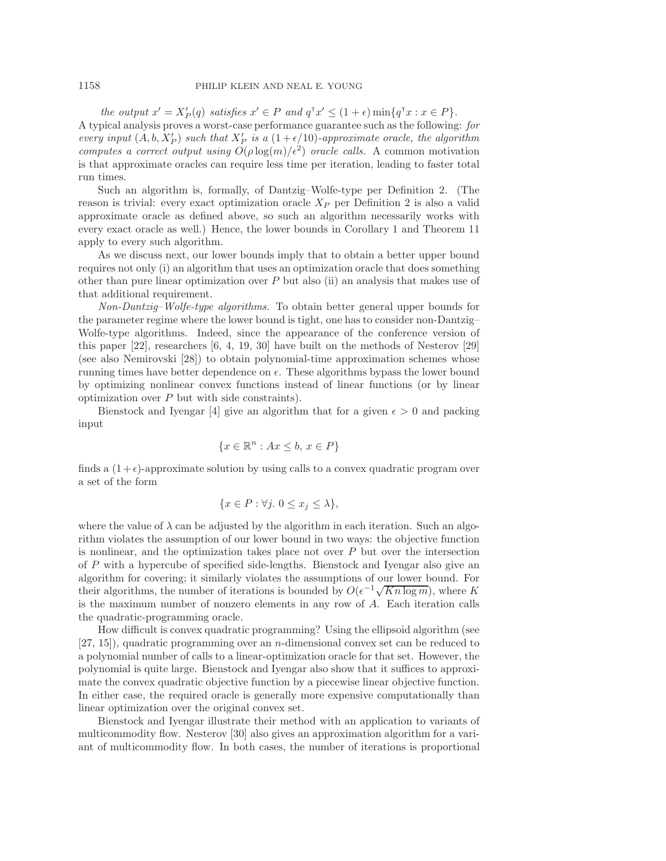#### 1158 PHILIP KLEIN AND NEAL E. YOUNG

the output  $x' = X'_P(q)$  satisfies  $x' \in P$  and  $q^{\mathsf{T}}x' \leq (1+\epsilon) \min\{q^{\mathsf{T}}x : x \in P\}.$ A typical analysis proves a worst-case performance guarantee such as the following: for every input  $(A, b, X'_P)$  such that  $X'_P$  is a  $(1+\epsilon/10)$ -approximate oracle, the algorithm computes a correct output using  $O(\rho \log(m)/\epsilon^2)$  oracle calls. A common motivation is that approximate oracles can require less time per iteration, leading to faster total run times.

Such an algorithm is, formally, of Dantzig–Wolfe-type per Definition [2.](#page-2-1) (The reason is trivial: every exact optimization oracle  $X_P$  per Definition [2](#page-2-1) is also a valid approximate oracle as defined above, so such an algorithm necessarily works with every exact oracle as well.) Hence, the lower bounds in Corollary [1](#page-2-2) and Theorem [11](#page-14-0) apply to every such algorithm.

As we discuss next, our lower bounds imply that to obtain a better upper bound requires not only (i) an algorithm that uses an optimization oracle that does something other than pure linear optimization over  $P$  but also (ii) an analysis that makes use of that additional requirement.

Non-Dantzig–Wolfe-type algorithms. To obtain better general upper bounds for the parameter regime where the lower bound is tight, one has to consider non-Dantzig– Wolfe-type algorithms. Indeed, since the appearance of the conference version of this paper [\[22\]](#page-17-12), researchers [\[6,](#page-16-2) [4,](#page-16-3) [19,](#page-17-13) [30\]](#page-17-14) have built on the methods of Nesterov [\[29\]](#page-17-15) (see also Nemirovski [\[28\]](#page-17-16)) to obtain polynomial-time approximation schemes whose running times have better dependence on  $\epsilon$ . These algorithms bypass the lower bound by optimizing nonlinear convex functions instead of linear functions (or by linear optimization over  $P$  but with side constraints).

Bienstock and Iyengar [\[4\]](#page-16-3) give an algorithm that for a given  $\epsilon > 0$  and packing input

$$
\{x\in\mathbb{R}^n:Ax\leq b,\,x\in P\}
$$

finds a  $(1+\epsilon)$ -approximate solution by using calls to a convex quadratic program over a set of the form

$$
\{x \in P : \forall j. \ 0 \le x_j \le \lambda\},\
$$

where the value of  $\lambda$  can be adjusted by the algorithm in each iteration. Such an algorithm violates the assumption of our lower bound in two ways: the objective function is nonlinear, and the optimization takes place not over  $P$  but over the intersection of P with a hypercube of specified side-lengths. Bienstock and Iyengar also give an algorithm for covering; it similarly violates the assumptions of our lower bound. For their algorithms, the number of iterations is bounded by  $O(\epsilon^{-1}\sqrt{Kn \log m})$ , where K is the maximum number of nonzero elements in any row of A. Each iteration calls the quadratic-programming oracle.

How difficult is convex quadratic programming? Using the ellipsoid algorithm (see  $[27, 15]$  $[27, 15]$ , quadratic programming over an *n*-dimensional convex set can be reduced to a polynomial number of calls to a linear-optimization oracle for that set. However, the polynomial is quite large. Bienstock and Iyengar also show that it suffices to approximate the convex quadratic objective function by a piecewise linear objective function. In either case, the required oracle is generally more expensive computationally than linear optimization over the original convex set.

Bienstock and Iyengar illustrate their method with an application to variants of multicommodity flow. Nesterov [\[30\]](#page-17-14) also gives an approximation algorithm for a variant of multicommodity flow. In both cases, the number of iterations is proportional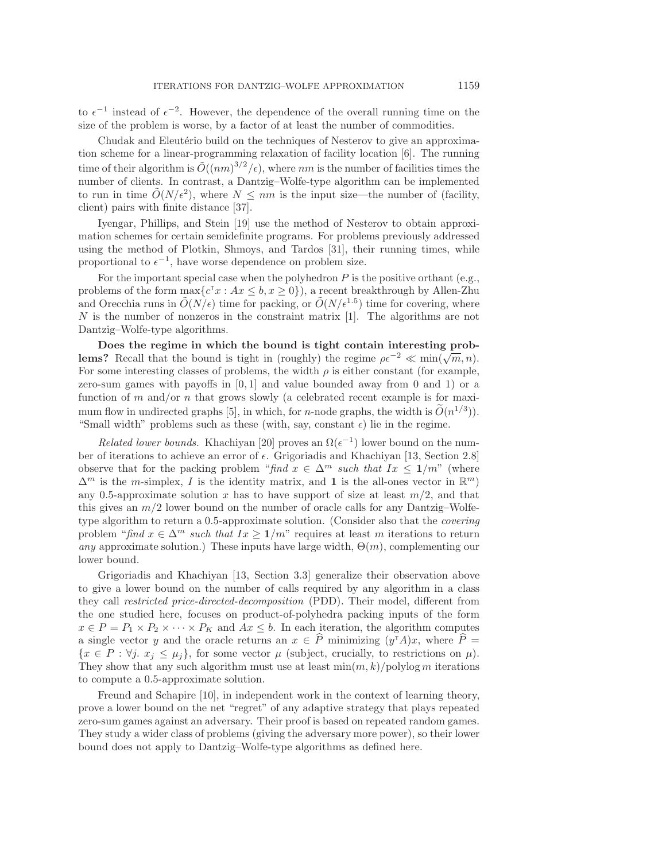to  $\epsilon^{-1}$  instead of  $\epsilon^{-2}$ . However, the dependence of the overall running time on the size of the problem is worse, by a factor of at least the number of commodities.

Chudak and Eleutério build on the techniques of Nesterov to give an approximation scheme for a linear-programming relaxation of facility location [\[6\]](#page-16-2). The running time of their algorithm is  $\tilde{O}((nm)^{3/2}/\epsilon)$ , where nm is the number of facilities times the number of clients. In contrast, a Dantzig–Wolfe-type algorithm can be implemented to run in time  $\tilde{O}(N/\epsilon^2)$ , where  $N \leq nm$  is the input size—the number of (facility, client) pairs with finite distance [\[37\]](#page-18-2).

Iyengar, Phillips, and Stein [\[19\]](#page-17-13) use the method of Nesterov to obtain approximation schemes for certain semidefinite programs. For problems previously addressed using the method of Plotkin, Shmoys, and Tardos [\[31\]](#page-17-8), their running times, while proportional to  $\epsilon^{-1}$ , have worse dependence on problem size.

For the important special case when the polyhedron  $P$  is the positive orthant (e.g., problems of the form  $\max\{c^{\mathsf{T}}x : Ax \leq b, x \geq 0\}$ , a recent breakthrough by Allen-Zhu and Orecchia runs in  $\tilde{O}(N/\epsilon)$  time for packing, or  $\tilde{O}(N/\epsilon^{1.5})$  time for covering, where N is the number of nonzeros in the constraint matrix [\[1\]](#page-16-4). The algorithms are not Dantzig–Wolfe-type algorithms.

Does the regime in which the bound is tight contain interesting prob**lems?** Recall that the bound is tight in (roughly) the regime  $\rho \epsilon^{-2} \ll \min(\sqrt{m}, n)$ . For some interesting classes of problems, the width  $\rho$  is either constant (for example, zero-sum games with payoffs in  $[0, 1]$  and value bounded away from 0 and 1) or a function of m and/or n that grows slowly (a celebrated recent example is for maxi-mum flow in undirected graphs [\[5\]](#page-16-5), in which, for *n*-node graphs, the width is  $\tilde{O}(n^{1/3})$ . "Small width" problems such as these (with, say, constant  $\epsilon$ ) lie in the regime.

Related lower bounds. Khachiyan [\[20\]](#page-17-19) proves an  $\Omega(\epsilon^{-1})$  lower bound on the number of iterations to achieve an error of  $\epsilon$ . Grigoriadis and Khachiyan [\[13,](#page-17-9) Section 2.8] observe that for the packing problem "find  $x \in \Delta^m$  such that  $Ix \leq 1/m$ " (where  $\Delta^m$  is the m-simplex, I is the identity matrix, and 1 is the all-ones vector in  $\mathbb{R}^m$ ) any 0.5-approximate solution x has to have support of size at least  $m/2$ , and that this gives an  $m/2$  lower bound on the number of oracle calls for any Dantzig–Wolfetype algorithm to return a 0.5-approximate solution. (Consider also that the covering problem "find  $x \in \Delta^m$  such that  $Ix \geq 1/m$ " requires at least m iterations to return any approximate solution.) These inputs have large width,  $\Theta(m)$ , complementing our lower bound.

Grigoriadis and Khachiyan [\[13,](#page-17-9) Section 3.3] generalize their observation above to give a lower bound on the number of calls required by any algorithm in a class they call restricted price-directed-decomposition (PDD). Their model, different from the one studied here, focuses on product-of-polyhedra packing inputs of the form  $x \in P = P_1 \times P_2 \times \cdots \times P_K$  and  $Ax \leq b$ . In each iteration, the algorithm computes a single vector y and the oracle returns an  $x \in \hat{P}$  minimizing  $(y^{\dagger}A)x$ , where  $\hat{P}$  =  ${x \in P : \forall j. x_j \leq \mu_j},$  for some vector  $\mu$  (subject, crucially, to restrictions on  $\mu$ ). They show that any such algorithm must use at least  $\min(m, k)/\text{polylog } m$  iterations to compute a 0.5-approximate solution.

Freund and Schapire [\[10\]](#page-17-20), in independent work in the context of learning theory, prove a lower bound on the net "regret" of any adaptive strategy that plays repeated zero-sum games against an adversary. Their proof is based on repeated random games. They study a wider class of problems (giving the adversary more power), so their lower bound does not apply to Dantzig–Wolfe-type algorithms as defined here.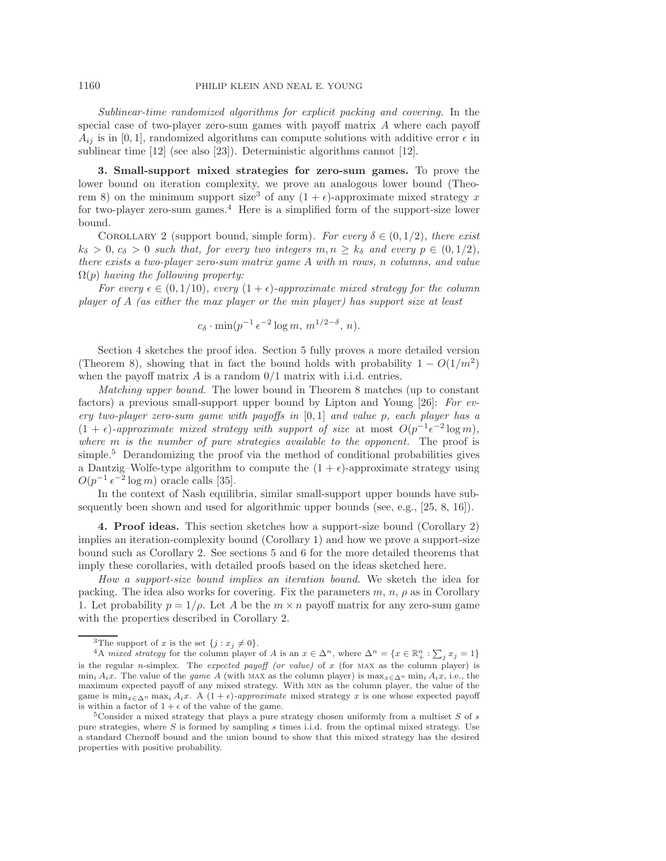Sublinear-time randomized algorithms for explicit packing and covering. In the special case of two-player zero-sum games with payoff matrix A where each payoff  $A_{ij}$  is in [0, 1], randomized algorithms can compute solutions with additive error  $\epsilon$  in sublinear time  $[12]$  (see also  $[23]$ ). Deterministic algorithms cannot  $[12]$ .

3. Small-support mixed strategies for zero-sum games. To prove the lower bound on iteration complexity, we prove an analogous lower bound (Theo-rem [8\)](#page-10-0) on the minimum support size<sup>[3](#page-6-1)</sup> of any  $(1 + \epsilon)$ -approximate mixed strategy x for two-player zero-sum games.<sup>[4](#page-6-2)</sup> Here is a simplified form of the support-size lower bound.

<span id="page-6-4"></span>COROLLARY 2 (support bound, simple form). For every  $\delta \in (0, 1/2)$ , there exist  $k_{\delta} > 0$ ,  $c_{\delta} > 0$  such that, for every two integers  $m, n \geq k_{\delta}$  and every  $p \in (0, 1/2)$ , there exists a two-player zero-sum matrix game A with m rows, n columns, and value  $\Omega(p)$  having the following property:

For every  $\epsilon \in (0, 1/10)$ , every  $(1 + \epsilon)$ -approximate mixed strategy for the column player of A (as either the max player or the min player) has support size at least

$$
c_{\delta} \cdot \min(p^{-1} \epsilon^{-2} \log m, m^{1/2-\delta}, n).
$$

Section [4](#page-6-0) sketches the proof idea. Section [5](#page-7-0) fully proves a more detailed version (Theorem [8\)](#page-10-0), showing that in fact the bound holds with probability  $1 - O(1/m^2)$ when the payoff matrix  $A$  is a random  $0/1$  matrix with i.i.d. entries.

Matching upper bound. The lower bound in Theorem [8](#page-10-0) matches (up to constant factors) a previous small-support upper bound by Lipton and Young [\[26\]](#page-17-23): For every two-player zero-sum game with payoffs in  $[0, 1]$  and value p, each player has a  $(1 + \epsilon)$ -approximate mixed strategy with support of size at most  $O(p^{-1} \epsilon^{-2} \log m)$ , where  $m$  is the number of pure strategies available to the opponent. The proof is simple.<sup>[5](#page-6-3)</sup> Derandomizing the proof via the method of conditional probabilities gives a Dantzig–Wolfe-type algorithm to compute the  $(1 + \epsilon)$ -approximate strategy using  $O(p^{-1} \epsilon^{-2} \log m)$  oracle calls [\[35\]](#page-18-3).

In the context of Nash equilibria, similar small-support upper bounds have subsequently been shown and used for algorithmic upper bounds (see, e.g., [\[25,](#page-17-24) [8,](#page-17-25) [16\]](#page-17-26)).

<span id="page-6-0"></span>4. Proof ideas. This section sketches how a support-size bound (Corollary [2\)](#page-6-4) implies an iteration-complexity bound (Corollary [1\)](#page-2-2) and how we prove a support-size bound such as Corollary [2.](#page-6-4) See sections [5](#page-7-0) and [6](#page-12-0) for the more detailed theorems that imply these corollaries, with detailed proofs based on the ideas sketched here.

How a support-size bound implies an iteration bound. We sketch the idea for packing. The idea also works for covering. Fix the parameters  $m, n, \rho$  as in Corollary [1.](#page-2-2) Let probability  $p = 1/\rho$ . Let A be the  $m \times n$  payoff matrix for any zero-sum game with the properties described in Corollary [2.](#page-6-4)

<span id="page-6-2"></span><span id="page-6-1"></span>

<sup>&</sup>lt;sup>3</sup>The support of x is the set  $\{j : x_j \neq 0\}$ .<br><sup>4</sup>A mixed strategy for the column player of A is an  $x \in \Delta^n$ , where  $\Delta^n = \{x \in \mathbb{R}^n_+ : \sum_j x_j = 1\}$ is the regular n-simplex. The expected payoff (or value) of x (for MAX as the column player) is  $\min_i A_i x$ . The value of the *game A* (with MAX as the column player) is  $\max_{x \in \Delta^n} \min_i A_i x$ , i.e., the maximum expected payoff of any mixed strategy. With min as the column player, the value of the game is  $\min_{x \in \Delta^n} \max_i A_i x$ . A  $(1 + \epsilon)$ -approximate mixed strategy x is one whose expected payoff is within a factor of  $1 + \epsilon$  of the value of the game.

<span id="page-6-3"></span> $5$ Consider a mixed strategy that plays a pure strategy chosen uniformly from a multiset S of s pure strategies, where S is formed by sampling s times i.i.d. from the optimal mixed strategy. Use a standard Chernoff bound and the union bound to show that this mixed strategy has the desired properties with positive probability.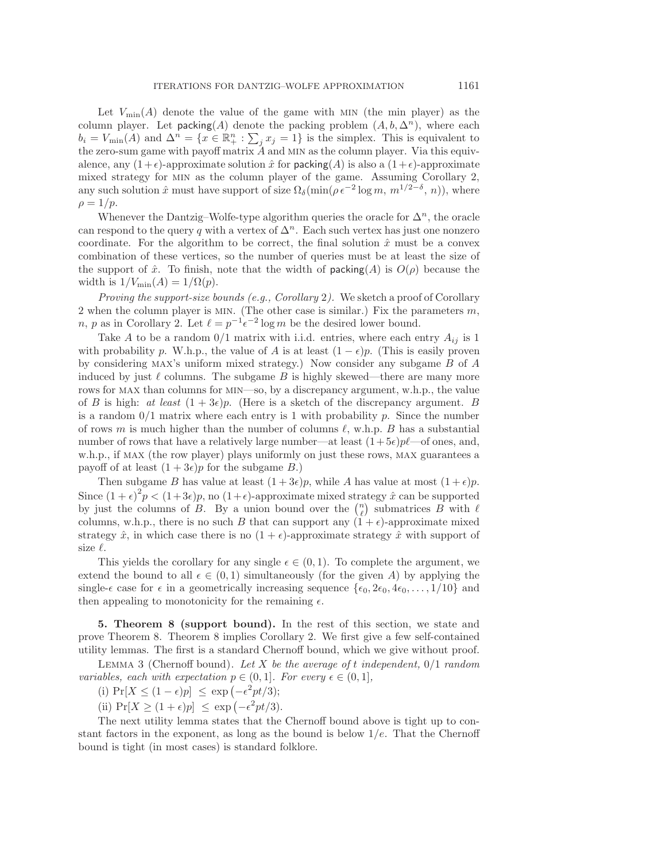Let  $V_{\text{min}}(A)$  denote the value of the game with MIN (the min player) as the column player. Let packing(A) denote the packing problem  $(A, b, \Delta^n)$ , where each  $b_i = V_{\min}(A)$  and  $\Delta^n = \{x \in \mathbb{R}^n_+ : \sum_j x_j = 1\}$  is the simplex. This is equivalent to the zero-sum game with payoff matrix  $\ddot{A}$  and MIN as the column player. Via this equivalence, any  $(1+\epsilon)$ -approximate solution  $\hat{x}$  for packing  $(A)$  is also a  $(1+\epsilon)$ -approximate mixed strategy for min as the column player of the game. Assuming Corollary [2,](#page-6-4) any such solution  $\hat{x}$  must have support of size  $\Omega_{\delta}(\min(\rho \epsilon^{-2} \log m, m^{1/2-\delta}, n))$ , where  $\rho = 1/p$ .

Whenever the Dantzig–Wolfe-type algorithm queries the oracle for  $\Delta^n$ , the oracle can respond to the query q with a vertex of  $\Delta^n$ . Each such vertex has just one nonzero coordinate. For the algorithm to be correct, the final solution  $\hat{x}$  must be a convex combination of these vertices, so the number of queries must be at least the size of the support of  $\hat{x}$ . To finish, note that the width of **packing** $(A)$  is  $O(\rho)$  because the width is  $1/V_{\text{min}}(A)=1/\Omega(p)$ .

Proving the support-size bounds (e.g., Corollary [2](#page-6-4)). We sketch a proof of Corollary [2](#page-6-4) when the column player is MIN. (The other case is similar.) Fix the parameters  $m$ , n, p as in Corollary [2.](#page-6-4) Let  $\ell = p^{-1} \epsilon^{-2} \log m$  be the desired lower bound.

Take A to be a random  $0/1$  matrix with i.i.d. entries, where each entry  $A_{ij}$  is 1 with probability p. W.h.p., the value of A is at least  $(1 - \epsilon)p$ . (This is easily proven by considering MAX's uniform mixed strategy.) Now consider any subgame  $B$  of  $A$ induced by just  $\ell$  columns. The subgame B is highly skewed—there are many more rows for max than columns for min—so, by a discrepancy argument, w.h.p., the value of B is high: at least  $(1+3\epsilon)p$ . (Here is a sketch of the discrepancy argument. B is a random  $0/1$  matrix where each entry is 1 with probability p. Since the number of rows m is much higher than the number of columns  $\ell$ , w.h.p. B has a substantial number of rows that have a relatively large number—at least  $(1+5\epsilon)p\ell$ —of ones, and, w.h.p., if max (the row player) plays uniformly on just these rows, max guarantees a payoff of at least  $(1+3\epsilon)p$  for the subgame B.)

Then subgame B has value at least  $(1+3\epsilon)p$ , while A has value at most  $(1+\epsilon)p$ . Since  $(1+\epsilon)^2 p < (1+3\epsilon)p$ , no  $(1+\epsilon)$ -approximate mixed strategy  $\hat{x}$  can be supported by just the columns of B. By a union bound over the  $\binom{n}{\ell}$  submatrices B with  $\ell$ columns, w.h.p., there is no such B that can support any  $(1 + \epsilon)$ -approximate mixed strategy  $\hat{x}$ , in which case there is no  $(1 + \epsilon)$ -approximate strategy  $\hat{x}$  with support of size  $\ell$ .

This yields the corollary for any single  $\epsilon \in (0,1)$ . To complete the argument, we extend the bound to all  $\epsilon \in (0,1)$  simultaneously (for the given A) by applying the single- $\epsilon$  case for  $\epsilon$  in a geometrically increasing sequence  $\{\epsilon_0, 2\epsilon_0, 4\epsilon_0, \ldots, 1/10\}$  and then appealing to monotonicity for the remaining  $\epsilon$ .

<span id="page-7-0"></span>5. Theorem [8](#page-10-0) (support bound). In the rest of this section, we state and prove Theorem [8.](#page-10-0) Theorem [8](#page-10-0) implies Corollary [2.](#page-6-4) We first give a few self-contained utility lemmas. The first is a standard Chernoff bound, which we give without proof.

LEMMA 3 (Chernoff bound). Let X be the average of t independent,  $0/1$  random variables, each with expectation  $p \in (0,1]$ . For every  $\epsilon \in (0,1]$ ,

(i)  $Pr[X \le (1 - \epsilon)p] \le exp(-\epsilon^2 pt/3);$ 

(ii)  $Pr[X \ge (1 + \epsilon)p] \le exp(-\epsilon^2 pt/3).$ 

The next utility lemma states that the Chernoff bound above is tight up to constant factors in the exponent, as long as the bound is below  $1/e$ . That the Chernoff bound is tight (in most cases) is standard folklore.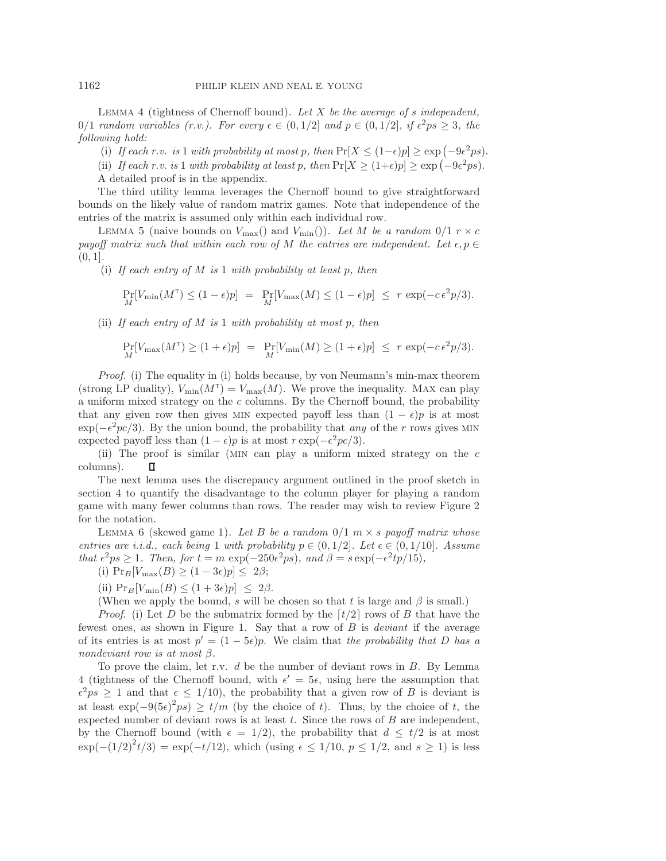<span id="page-8-0"></span>LEMMA 4 (tightness of Chernoff bound). Let  $X$  be the average of s independent, 0/1 random variables (r.v.). For every  $\epsilon \in (0, 1/2]$  and  $p \in (0, 1/2]$ , if  $\epsilon^2 ps \geq 3$ , the following hold:

(i) If each r.v. is 1 with probability at most p, then  $Pr[X \leq (1-\epsilon)p] \geq \exp(-9\epsilon^2 ps)$ .

(ii) If each r.v. is 1 with probability at least p, then  $Pr[X \ge (1+\epsilon)p] \ge \exp(-9\epsilon^2 ps)$ . A detailed proof is in the appendix.

The third utility lemma leverages the Chernoff bound to give straightforward bounds on the likely value of random matrix games. Note that independence of the entries of the matrix is assumed only within each individual row.

<span id="page-8-1"></span>LEMMA 5 (naive bounds on  $V_{\text{max}}$ ) and  $V_{\text{min}}$ )). Let M be a random  $0/1$   $r \times c$ payoff matrix such that within each row of M the entries are independent. Let  $\epsilon, p \in$  $(0, 1].$ 

(i) If each entry of M is 1 with probability at least p, then

$$
\Pr_M[V_{\min}(M^{\tau}) \le (1 - \epsilon)p] = \Pr_M[V_{\max}(M) \le (1 - \epsilon)p] \le r \exp(-c\epsilon^2 p/3).
$$

(ii) If each entry of M is 1 with probability at most p, then

$$
\Pr_M[V_{\max}(M^{\tau}) \ge (1+\epsilon)p] = \Pr_M[V_{\min}(M) \ge (1+\epsilon)p] \le r \exp(-c\epsilon^2 p/3).
$$

Proof. (i) The equality in (i) holds because, by von Neumann's min-max theorem (strong LP duality),  $V_{\text{min}}(M^{\mathsf{T}}) = V_{\text{max}}(M)$ . We prove the inequality. MAX can play a uniform mixed strategy on the c columns. By the Chernoff bound, the probability that any given row then gives MIN expected payoff less than  $(1 - \epsilon)p$  is at most  $\exp(-\epsilon^2 pc/3)$ . By the union bound, the probability that any of the r rows gives MIN expected payoff less than  $(1 - \epsilon)p$  is at most  $r \exp(-\epsilon^2 p c/3)$ .

(ii) The proof is similar (min can play a uniform mixed strategy on the c columns). п

The next lemma uses the discrepancy argument outlined in the proof sketch in section [4](#page-6-0) to quantify the disadvantage to the column player for playing a random game with many fewer columns than rows. The reader may wish to review Figure [2](#page-10-1) for the notation.

<span id="page-8-2"></span>LEMMA 6 (skewed game 1). Let B be a random  $0/1$  m  $\times$  s payoff matrix whose entries are i.i.d., each being 1 with probability  $p \in (0, 1/2]$ . Let  $\epsilon \in (0, 1/10]$ . Assume that  $\epsilon^2 ps \ge 1$ . Then, for  $t = m \exp(-250\epsilon^2 ps)$ , and  $\beta = s \exp(-\epsilon^2 tp/15)$ ,

(i)  $\Pr_B[V_{\text{max}}(B) \ge (1-3\epsilon)p] \le 2\beta;$ 

(ii) 
$$
\Pr_B[V_{\min}(B) \le (1+3\epsilon)p] \le 2\beta
$$
.

(When we apply the bound, s will be chosen so that t is large and  $\beta$  is small.)

*Proof.* (i) Let D be the submatrix formed by the  $\lceil t/2 \rceil$  rows of B that have the fewest ones, as shown in Figure [1.](#page-9-0) Say that a row of B is deviant if the average of its entries is at most  $p' = (1 - 5\epsilon)p$ . We claim that the probability that D has a nondeviant row is at most  $\beta$ .

To prove the claim, let r.v.  $d$  be the number of deviant rows in  $B$ . By Lemma [4](#page-8-0) (tightness of the Chernoff bound, with  $\epsilon' = 5\epsilon$ , using here the assumption that  $\epsilon^2 ps \geq 1$  and that  $\epsilon \leq 1/10$ , the probability that a given row of B is deviant is at least  $\exp(-9(5\epsilon)^2 ps) \ge t/m$  (by the choice of t). Thus, by the choice of t, the expected number of deviant rows is at least  $t$ . Since the rows of  $B$  are independent, by the Chernoff bound (with  $\epsilon = 1/2$ ), the probability that  $d \leq t/2$  is at most  $\exp(-(1/2)^2 t/3) = \exp(-t/12)$ , which (using  $\epsilon \le 1/10$ ,  $p \le 1/2$ , and  $s \ge 1$ ) is less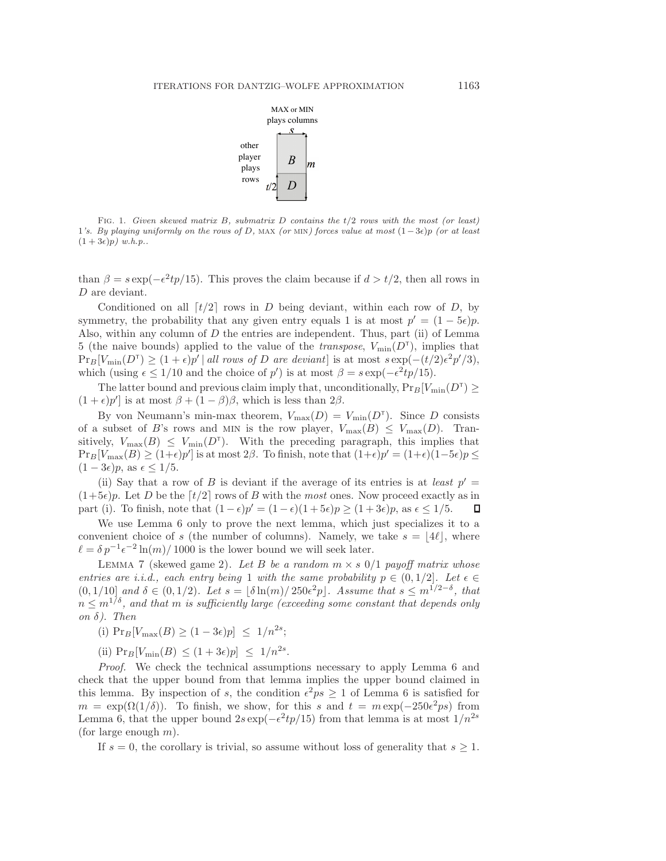

<span id="page-9-0"></span>FIG. 1. Given skewed matrix B, submatrix D contains the  $t/2$  rows with the most (or least) 1's. By playing uniformly on the rows of D, MAX (or MIN) forces value at most  $(1-3\epsilon)p$  (or at least  $(1+3\epsilon)p)$  w.h.p..

than  $\beta = s \exp(-\epsilon^2 t p/15)$ . This proves the claim because if  $d > t/2$ , then all rows in D are deviant.

Conditioned on all  $\lceil t/2 \rceil$  rows in D being deviant, within each row of D, by symmetry, the probability that any given entry equals 1 is at most  $p' = (1 - 5\epsilon)p$ . Also, within any column of D the entries are independent. Thus, part (ii) of Lemma [5](#page-8-1) (the naive bounds) applied to the value of the *transpose*,  $V_{\text{min}}(D^{\mathsf{T}})$ , implies that  $\Pr_B[V_{\min}(D^{\tau}) \ge (1+\epsilon)p' |$  all rows of D are deviant] is at most  $s \exp(-(t/2)\epsilon^2 p'/3)$ , which (using  $\epsilon \leq 1/10$  and the choice of p') is at most  $\beta = s \exp(-\epsilon^2 t p/15)$ .

The latter bound and previous claim imply that, unconditionally,  $Pr_B[V_{min}(D^{\dagger}) \geq$  $(1+\epsilon)p'$  is at most  $\beta + (1-\beta)\beta$ , which is less than  $2\beta$ .

By von Neumann's min-max theorem,  $V_{\text{max}}(D) = V_{\text{min}}(D^{\dagger})$ . Since D consists of a subset of B's rows and MIN is the row player,  $V_{\text{max}}(B) \leq V_{\text{max}}(D)$ . Transitively,  $V_{\text{max}}(B) \leq V_{\text{min}}(D^{\dagger})$ . With the preceding paragraph, this implies that  $\Pr_B[V_{\text{max}}(B) \ge (1+\epsilon)p']$  is at most 2 $\beta$ . To finish, note that  $(1+\epsilon)p' = (1+\epsilon)(1-5\epsilon)p \le$  $(1-3\epsilon)p$ , as  $\epsilon \leq 1/5$ .

(ii) Say that a row of B is deviant if the average of its entries is at least  $p' =$  $(1+5\epsilon)p$ . Let D be the  $\lceil t/2 \rceil$  rows of B with the most ones. Now proceed exactly as in part (i). To finish, note that  $(1-\epsilon)p' = (1-\epsilon)(1+5\epsilon)p > (1+3\epsilon)p$ , as  $\epsilon < 1/5$ . part (i). To finish, note that  $(1 - \epsilon)p' = (1 - \epsilon)(1 + 5\epsilon)p \ge (1 + 3\epsilon)p$ , as  $\epsilon \le 1/5$ .

We use Lemma [6](#page-8-2) only to prove the next lemma, which just specializes it to a convenient choice of s (the number of columns). Namely, we take  $s = |4\ell|$ , where  $\ell = \delta p^{-1} \epsilon^{-2} \ln(m) / 1000$  is the lower bound we will seek later.

<span id="page-9-1"></span>LEMMA 7 (skewed game 2). Let B be a random  $m \times s$  0/1 payoff matrix whose entries are i.i.d., each entry being 1 with the same probability  $p \in (0, 1/2]$ . Let  $\epsilon \in$  $(0, 1/10]$  and  $\delta \in (0, 1/2)$ . Let  $s = |\delta \ln(m)/250\epsilon^2 p|$ . Assume that  $s \leq m^{1/2-\delta}$ , that  $n \leq m^{1/\delta}$ , and that m is sufficiently large (exceeding some constant that depends only on  $\delta$ ). Then

(i)  $Pr_B[V_{\text{max}}(B) \ge (1-3\epsilon)p] \le 1/n^{2s}$ ;

(ii)  $Pr_B[V_{\min}(B) \le (1+3\epsilon)p] \le 1/n^{2s}$ .

Proof. We check the technical assumptions necessary to apply Lemma [6](#page-8-2) and check that the upper bound from that lemma implies the upper bound claimed in this lemma. By inspection of s, the condition  $\epsilon^2 ps \ge 1$  of Lemma [6](#page-8-2) is satisfied for  $m = \exp(\Omega(1/\delta))$ . To finish, we show, for this s and  $t = m \exp(-250\epsilon^2 \text{ps})$  from Lemma [6,](#page-8-2) that the upper bound  $2s \exp(-\epsilon^2 t p/15)$  from that lemma is at most  $1/n^{2s}$ (for large enough  $m$ ).

If  $s = 0$ , the corollary is trivial, so assume without loss of generality that  $s \geq 1$ .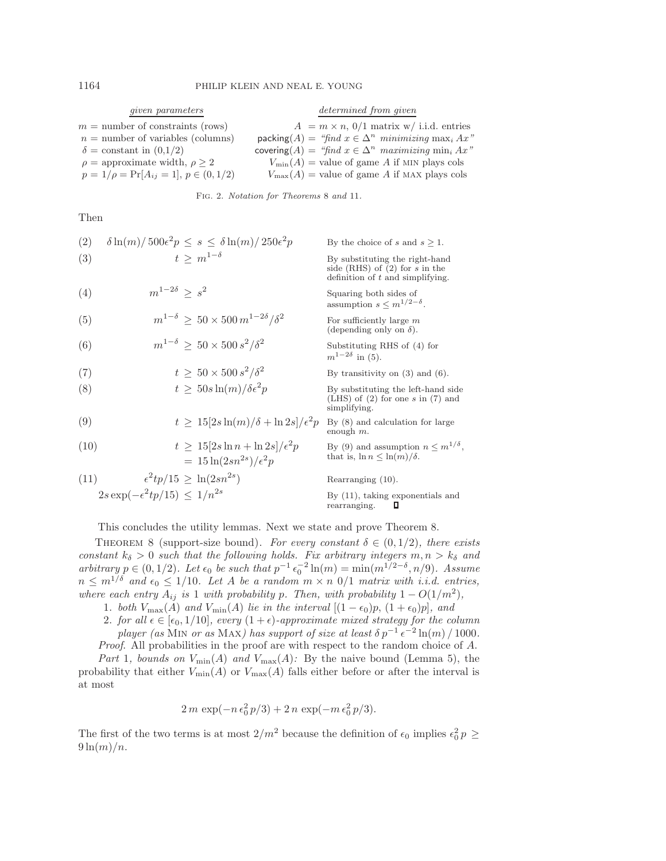| <i>given</i> parameters                       | determined from given                                                             |
|-----------------------------------------------|-----------------------------------------------------------------------------------|
| $m =$ number of constraints (rows)            | $A = m \times n$ , 0/1 matrix w/ i.i.d. entries                                   |
| $n =$ number of variables (columns)           | packing $(A) = \text{``find } x \in \Delta^n$ minimizing max <sub>i</sub> $Ax$ "  |
| $\delta = \text{constant}$ in $(0,1/2)$       | covering $(A) = \text{``find } x \in \Delta^n$ maximizing min <sub>i</sub> $Ax$ " |
| $\rho =$ approximate width, $\rho > 2$        | $V_{\min}(A)$ = value of game A if MIN plays cols                                 |
| $p = 1/\rho = Pr[A_{ij} = 1], p \in (0, 1/2)$ | $V_{\text{max}}(A)$ = value of game A if MAX plays cols                           |

<span id="page-10-1"></span>Fig. 2. Notation for Theorems [8](#page-10-0) and [11](#page-14-0).

Then

<span id="page-10-8"></span><span id="page-10-7"></span><span id="page-10-6"></span><span id="page-10-5"></span><span id="page-10-4"></span><span id="page-10-3"></span><span id="page-10-2"></span>\n- \n (2) 
$$
\delta \ln(m)/500\epsilon^2 p \leq s \leq \delta \ln(m)/250\epsilon^2 p
$$
\n By the choice of  $s$  and  $s \geq 1$ .\n
\n- \n (3)  $t \geq m^{1-\delta}$ \n By substituting the right-hand side (RHS) of (2) for  $s$  in the definition of  $t$  and simplifying.\n
\n- \n (4)  $m^{1-2\delta} \geq s^2$ \n Scquaring both sides of assumption  $s \leq m^{1/2-\delta}$ .\n
\n- \n (5)  $m^{1-\delta} \geq 50 \times 500 \, m^{1-2\delta}/\delta^2$ \n For sufficiently large  $m$  (depending only on  $\delta$ ).\n
\n- \n (6)  $m^{1-\delta} \geq 50 \times 500 \, s^2/\delta^2$ \n Substituting RHS of (4) for  $m^{1-2\delta}$  in (5).\n
\n- \n (7)  $t \geq 50 \times 500 \, s^2/\delta^2$ \n Substituting RHS of (4) for  $m^{1-2\delta}$  in (5).\n
\n- \n (8)  $t \geq 50 \, \text{sin}(m)/\delta\epsilon^2 p$ \n By substituting the left-hand side (LHS) of (2) for one  $s$  in (7) and simplifying.\n
\n- \n (9)  $t \geq 15[2s \ln(m)/\delta + \ln 2s]/\epsilon^2 p$ \n By (8) and calculation for large enough  $m$ .\n
\n- \n (10)  $t \geq 15[2s \ln n + \ln 2s]/\epsilon^2 p$ \n By (9) and assumption  $n \leq m^{1/\delta}$ , that is,  $\ln n \leq \ln(m)/\delta$ .\n
\n- \n (11)  $\epsilon^2tp/15 \geq \ln(2sn^{2s})$ \n

<span id="page-10-11"></span><span id="page-10-10"></span><span id="page-10-9"></span>This concludes the utility lemmas. Next we state and prove Theorem [8.](#page-10-0)

<span id="page-10-0"></span>THEOREM 8 (support-size bound). For every constant  $\delta \in (0, 1/2)$ , there exists constant  $k_{\delta} > 0$  such that the following holds. Fix arbitrary integers  $m, n > k_{\delta}$  and arbitrary  $p \in (0, 1/2)$ . Let  $\epsilon_0$  be such that  $p^{-1} \epsilon_0^{-2} \ln(m) = \min(m^{1/2-\delta}, n/9)$ . Assume  $n \leq m^{1/\delta}$  and  $\epsilon_0 \leq 1/10$ . Let A be a random  $m \times n$  0/1 matrix with i.i.d. entries, where each entry  $A_{ij}$  is 1 with probability p. Then, with probability  $1 - O(1/m^2)$ ,

1. both  $V_{\text{max}}(A)$  and  $V_{\text{min}}(A)$  lie in the interval  $[(1 - \epsilon_0)p, (1 + \epsilon_0)p]$ , and

2. for all  $\epsilon \in [\epsilon_0, 1/10]$ , every  $(1 + \epsilon)$ -approximate mixed strategy for the column player (as MIN or as MAX) has support of size at least  $\delta p^{-1} \epsilon^{-2} \ln(m) / 1000$ .

Proof. All probabilities in the proof are with respect to the random choice of A.

Part 1, bounds on  $V_{\min}(A)$  and  $V_{\max}(A)$ : By the naive bound (Lemma [5\)](#page-8-1), the probability that either  $V_{\text{min}}(A)$  or  $V_{\text{max}}(A)$  falls either before or after the interval is at most

$$
2 m \exp(-n \epsilon_0^2 p/3) + 2 n \exp(-m \epsilon_0^2 p/3).
$$

The first of the two terms is at most  $2/m^2$  because the definition of  $\epsilon_0$  implies  $\epsilon_0^2 p \geq$  $9\ln(m)/n$ .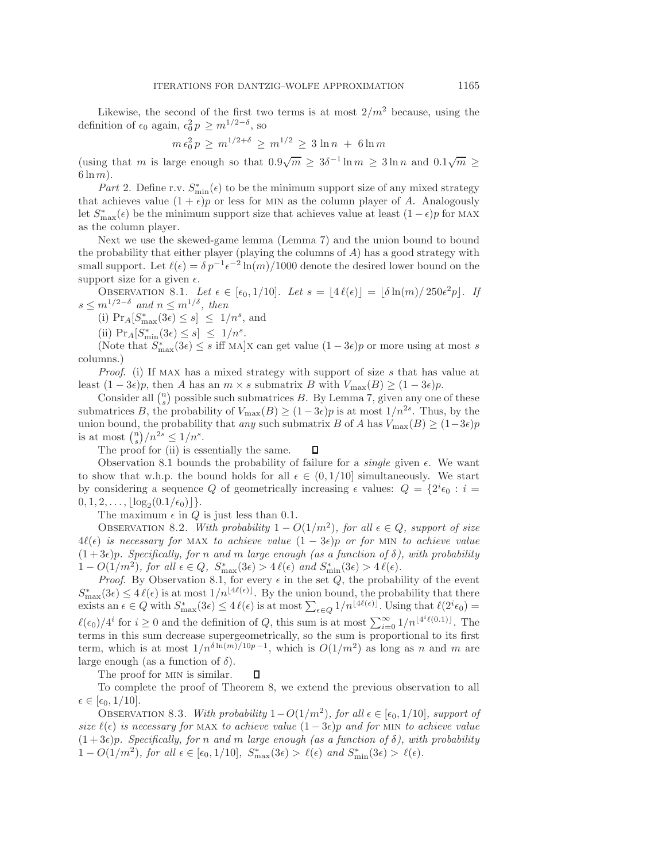Likewise, the second of the first two terms is at most  $2/m^2$  because, using the definition of  $\epsilon_0$  again,  $\epsilon_0^2 p \geq m^{1/2-\delta}$ , so

$$
m\,\epsilon_0^2\,p \,\geq\, m^{1/2+\delta} \,\geq\, m^{1/2} \,\geq\, 3\,\ln n\,\,+\,\, 6\ln m
$$

(using that m is large enough so that  $0.9\sqrt{m} \geq 3\delta^{-1} \ln m \geq 3 \ln n$  and  $0.1\sqrt{m} \geq$  $6 \ln m$ ).

*Part* 2. Define r.v.  $S_{\min}^*(\epsilon)$  to be the minimum support size of any mixed strategy that achieves value  $(1 + \epsilon)p$  or less for MIN as the column player of A. Analogously let  $S^*_{\text{max}}(\epsilon)$  be the minimum support size that achieves value at least  $(1 - \epsilon)p$  for MAX as the column player.

Next we use the skewed-game lemma (Lemma [7\)](#page-9-1) and the union bound to bound the probability that either player (playing the columns of  $A$ ) has a good strategy with small support. Let  $\ell(\epsilon) = \delta p^{-1} \epsilon^{-2} \ln(m) / 1000$  denote the desired lower bound on the support size for a given  $\epsilon$ .

<span id="page-11-0"></span>OBSERVATION 8.1. Let  $\epsilon \in [\epsilon_0, 1/10]$ . Let  $s = |4\ell(\epsilon)| = |\delta \ln(m)/250\epsilon^2 p|$ . If  $s \leq m^{1/2-\delta}$  and  $n \leq m^{1/\delta}$ , then

(i)  $Pr_A[S_{\text{max}}^*(3\epsilon) \leq s] \leq 1/n^s$ , and

(ii)  $Pr_A[S^*_{\min}(3\epsilon) \leq s] \leq 1/n^s$ .

(Note that  $S_{\text{max}}^*(3\epsilon) \leq s$  iff MA |X can get value  $(1-3\epsilon)p$  or more using at most s columns.)

Proof. (i) If MAX has a mixed strategy with support of size s that has value at least  $(1 - 3\epsilon)p$ , then A has an  $m \times s$  submatrix B with  $V_{\text{max}}(B) \ge (1 - 3\epsilon)p$ .

Consider all  $\binom{n}{s}$  possible such submatrices B. By Lemma [7,](#page-9-1) given any one of these submatrices B, the probability of  $V_{\text{max}}(B) \ge (1-3\epsilon)p$  is at most  $1/n^{2s}$ . Thus, by the union bound, the probability that any such submatrix B of A has  $V_{\text{max}}(B) \ge (1-3\epsilon)p$ is at most  $\binom{n}{s}/n^{2s} \leq 1/n^s$ .

The proof for (ii) is essentially the same. П

Observation [8.1](#page-11-0) bounds the probability of failure for a *single* given  $\epsilon$ . We want to show that w.h.p. the bound holds for all  $\epsilon \in (0, 1/10]$  simultaneously. We start by considering a sequence Q of geometrically increasing  $\epsilon$  values:  $Q = \{2^i \epsilon_0 : i =$  $0, 1, 2, \ldots, |\log_2(0.1/\epsilon_0)|\}.$ 

The maximum  $\epsilon$  in Q is just less than 0.1.

<span id="page-11-1"></span>OBSERVATION 8.2. With probability  $1 - O(1/m^2)$ , for all  $\epsilon \in Q$ , support of size  $4\ell(\epsilon)$  is necessary for MAX to achieve value  $(1-3\epsilon)p$  or for MIN to achieve value  $(1+3\epsilon)p$ . Specifically, for n and m large enough (as a function of  $\delta$ ), with probability  $1-O(1/m^2)$ , for all  $\epsilon \in Q$ ,  $S_{\max}^*(3\epsilon) > 4\ell(\epsilon)$  and  $S_{\min}^*(3\epsilon) > 4\ell(\epsilon)$ .

*Proof.* By Observation [8.1,](#page-11-0) for every  $\epsilon$  in the set  $Q$ , the probability of the event  $S_{\text{max}}^*(3\epsilon) \leq 4\ell(\epsilon)$  is at most  $1/n^{\lfloor 4\ell(\epsilon) \rfloor}$ . By the union bound, the probability that there exists an  $\epsilon \in Q$  with  $S^*_{\text{max}}(3\epsilon) \leq 4\ell(\epsilon)$  is at most  $\sum_{\epsilon \in Q} 1/n^{\lfloor 4\ell(\epsilon) \rfloor}$ . Using that  $\ell(2^i \epsilon_0) =$  $\ell(\epsilon_0)/4^i$  for  $i \geq 0$  and the definition of Q, this sum is at most  $\sum_{i=0}^{\infty} 1/n^{\lfloor 4^i \ell(0.1) \rfloor}$ . The terms in this sum decrease supergeometrically, so the sum is proportional to its first term, which is at most  $1/n^{\delta \ln(m)/10p-1}$ , which is  $O(1/m^2)$  as long as n and m are large enough (as a function of  $\delta$ ).

<span id="page-11-2"></span>The proof for MIN is similar.

To complete the proof of Theorem [8,](#page-10-0) we extend the previous observation to all  $\epsilon \in [\epsilon_0, 1/10].$ 

 $\Box$ 

OBSERVATION 8.3. With probability  $1-O(1/m^2)$ , for all  $\epsilon \in [\epsilon_0, 1/10]$ , support of size  $\ell(\epsilon)$  is necessary for MAX to achieve value  $(1-3\epsilon)p$  and for MIN to achieve value  $(1+3\epsilon)p$ . Specifically, for n and m large enough (as a function of  $\delta$ ), with probability 1 –  $O(1/m^2)$ , for all  $\epsilon \in [\epsilon_0, 1/10]$ ,  $S_{\text{max}}^*(3\epsilon) > \ell(\epsilon)$  and  $S_{\text{min}}^*(3\epsilon) > \ell(\epsilon)$ .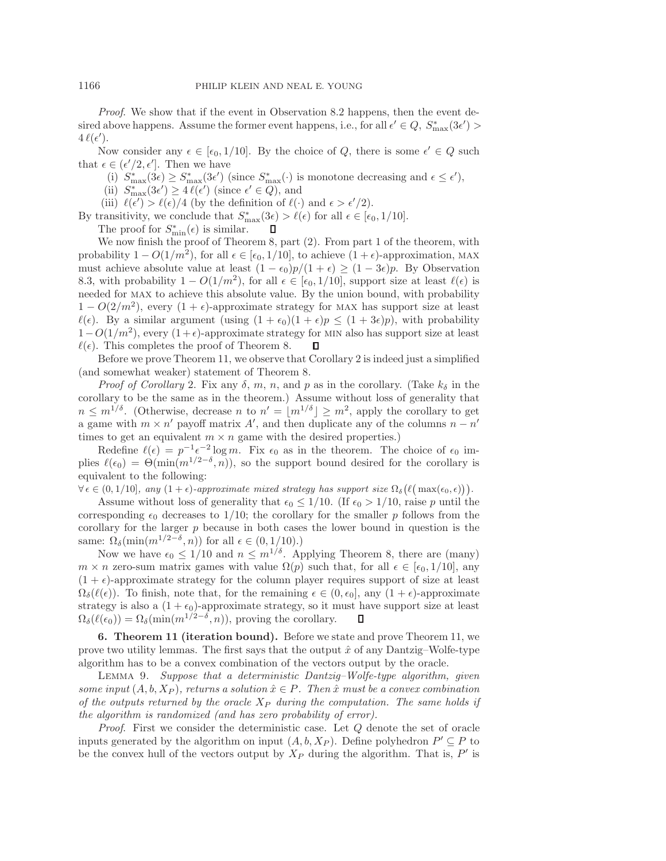Proof. We show that if the event in Observation [8.2](#page-11-1) happens, then the event desired above happens. Assume the former event happens, i.e., for all  $\epsilon' \in Q$ ,  $S_{\max}^*(3\epsilon') >$  $4\,\ell(\epsilon').$ 

Now consider any  $\epsilon \in [\epsilon_0, 1/10]$ . By the choice of Q, there is some  $\epsilon' \in Q$  such that  $\epsilon \in (\epsilon'/2, \epsilon']$ . Then we have

(i)  $S_{\text{max}}^*(3\epsilon) \geq S_{\text{max}}^*(3\epsilon')$  (since  $S_{\text{max}}^*(\cdot)$  is monotone decreasing and  $\epsilon \leq \epsilon'$ ),

(ii)  $S_{\text{max}}^*(3\epsilon') \ge 4\,\ell(\epsilon')$  (since  $\epsilon' \in Q$ ), and

(iii)  $\ell(\epsilon') > \ell(\epsilon)/4$  (by the definition of  $\ell(\cdot)$  and  $\epsilon > \epsilon'/2$ ).

By transitivity, we conclude that  $S_{\text{max}}^*(3\epsilon) > \ell(\epsilon)$  for all  $\epsilon \in [\epsilon_0, 1/10]$ .

The proof for  $S_{\min}^*(\epsilon)$  is similar.

We now finish the proof of Theorem [8,](#page-10-0) part (2). From part 1 of the theorem, with probability  $1 - O(1/m^2)$ , for all  $\epsilon \in [\epsilon_0, 1/10]$ , to achieve  $(1 + \epsilon)$ -approximation, MAX must achieve absolute value at least  $(1 - \epsilon_0)p/(1 + \epsilon) \ge (1 - 3\epsilon)p$ . By Observation [8.3,](#page-11-2) with probability  $1 - O(1/m^2)$ , for all  $\epsilon \in [\epsilon_0, 1/10]$ , support size at least  $\ell(\epsilon)$  is needed for max to achieve this absolute value. By the union bound, with probability  $1 - O(2/m^2)$ , every  $(1 + \epsilon)$ -approximate strategy for MAX has support size at least  $\ell(\epsilon)$ . By a similar argument (using  $(1+\epsilon_0)(1+\epsilon)p \leq (1+3\epsilon)p$ ), with probability  $1-O(1/m^2)$ , every  $(1+\epsilon)$ -approximate strategy for MIN also has support size at least  $\ell(\epsilon)$ . This completes the proof of Theorem 8.  $\ell(\epsilon)$ . This completes the proof of Theorem [8.](#page-10-0)

Before we prove Theorem [11,](#page-14-0) we observe that Corollary [2](#page-6-4) is indeed just a simplified (and somewhat weaker) statement of Theorem [8.](#page-10-0)

*Proof of Corollary [2.](#page-6-4)* Fix any  $\delta$ , m, n, and p as in the corollary. (Take  $k_{\delta}$  in the corollary to be the same as in the theorem.) Assume without loss of generality that  $n \leq m^{1/\delta}$ . (Otherwise, decrease n to  $n' = |m^{1/\delta}| \geq m^2$ , apply the corollary to get a game with  $m \times n'$  payoff matrix A', and then duplicate any of the columns  $n - n'$ times to get an equivalent  $m \times n$  game with the desired properties.)

Redefine  $\ell(\epsilon) = p^{-1} \epsilon^{-2} \log m$ . Fix  $\epsilon_0$  as in the theorem. The choice of  $\epsilon_0$  implies  $\ell(\epsilon_0) = \Theta(\min(m^{1/2-\delta}, n))$ , so the support bound desired for the corollary is equivalent to the following:

 $\forall \epsilon \in (0, 1/10], \text{ any } (1 + \epsilon)\text{-approximate mixed strategy has support size } \Omega_{\delta}\left(\ell\left(\max(\epsilon_0, \epsilon)\right)\right).$ 

Assume without loss of generality that  $\epsilon_0 \leq 1/10$ . (If  $\epsilon_0 > 1/10$ , raise p until the corresponding  $\epsilon_0$  decreases to 1/10; the corollary for the smaller p follows from the corollary for the larger p because in both cases the lower bound in question is the same:  $\Omega_{\delta}(\min(m^{1/2-\delta}, n))$  for all  $\epsilon \in (0, 1/10)$ .)

Now we have  $\epsilon_0 \leq 1/10$  and  $n \leq m^{1/\delta}$ . Applying Theorem [8,](#page-10-0) there are (many)  $m \times n$  zero-sum matrix games with value  $\Omega(p)$  such that, for all  $\epsilon \in [\epsilon_0, 1/10]$ , any  $(1 + \epsilon)$ -approximate strategy for the column player requires support of size at least  $\Omega_{\delta}(\ell(\epsilon))$ . To finish, note that, for the remaining  $\epsilon \in (0, \epsilon_0]$ , any  $(1 + \epsilon)$ -approximate strategy is also a  $(1 + \epsilon_0)$ -approximate strategy, so it must have support size at least  $\Omega_{\delta}(\ell(\epsilon_0)) = \Omega_{\delta}(\min(m^{1/2-\delta}, n))$ , proving the corollary. П

<span id="page-12-0"></span>6. Theorem [11](#page-14-0) (iteration bound). Before we state and prove Theorem [11,](#page-14-0) we prove two utility lemmas. The first says that the output  $\hat{x}$  of any Dantzig–Wolfe-type algorithm has to be a convex combination of the vectors output by the oracle.

<span id="page-12-1"></span>Lemma 9. Suppose that a deterministic Dantzig–Wolfe-type algorithm, given some input  $(A, b, X_P)$ , returns a solution  $\hat{x} \in P$ . Then  $\hat{x}$  must be a convex combination of the outputs returned by the oracle  $X_P$  during the computation. The same holds if the algorithm is randomized (and has zero probability of error).

Proof. First we consider the deterministic case. Let Q denote the set of oracle inputs generated by the algorithm on input  $(A, b, X_P)$ . Define polyhedron  $P' \subseteq P$  to be the convex hull of the vectors output by  $X_P$  during the algorithm. That is,  $P'$  is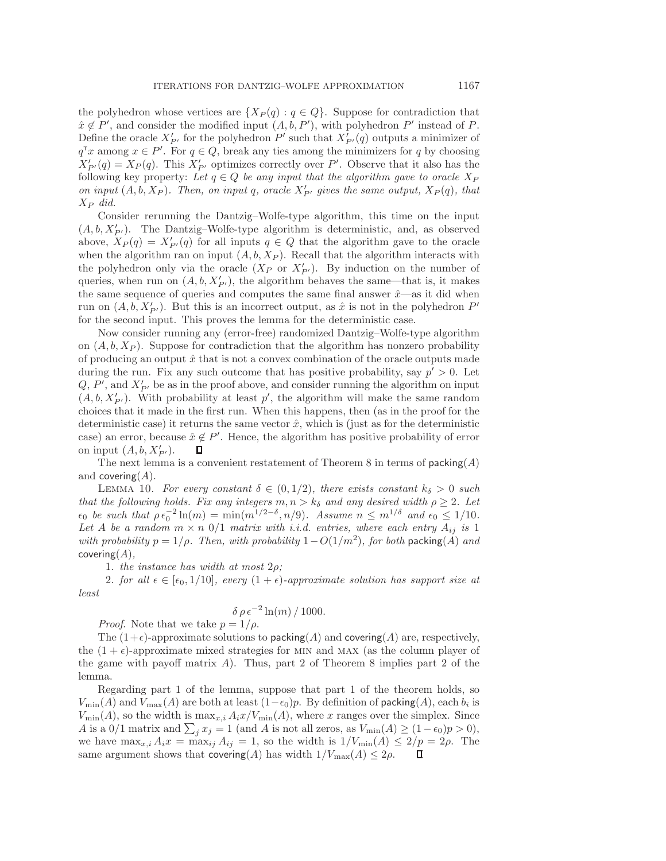the polyhedron whose vertices are  $\{X_P(q) : q \in Q\}$ . Suppose for contradiction that  $\hat{x} \notin P'$ , and consider the modified input  $(A, b, P')$ , with polyhedron P' instead of P. Define the oracle  $X'_{P'}$  for the polyhedron  $P'$  such that  $X'_{P'}(q)$  outputs a minimizer of  $q^{\mathsf{T}}x$  among  $x \in P'$ . For  $q \in Q$ , break any ties among the minimizers for q by choosing  $X'_{P'}(q) = X_{P}(q)$ . This  $X'_{P'}$  optimizes correctly over P'. Observe that it also has the following key property: Let  $q \in Q$  be any input that the algorithm gave to oracle  $X_P$ on input  $(A, b, X_P)$ . Then, on input q, oracle  $X'_{P'}$  gives the same output,  $X_P(q)$ , that  $X_P$  did.

Consider rerunning the Dantzig–Wolfe-type algorithm, this time on the input  $(A, b, X'_{P'})$ . The Dantzig–Wolfe-type algorithm is deterministic, and, as observed above,  $X_P(q) = X'_{P'}(q)$  for all inputs  $q \in Q$  that the algorithm gave to the oracle when the algorithm ran on input  $(A, b, X_P)$ . Recall that the algorithm interacts with the polyhedron only via the oracle  $(X_P \text{ or } X'_{P'})$ . By induction on the number of queries, when run on  $(A, b, X'_{P'})$ , the algorithm behaves the same—that is, it makes the same sequence of queries and computes the same final answer  $\hat{x}$ —as it did when run on  $(A, b, X'_{P'})$ . But this is an incorrect output, as  $\hat{x}$  is not in the polyhedron  $P'$ for the second input. This proves the lemma for the deterministic case.

Now consider running any (error-free) randomized Dantzig–Wolfe-type algorithm on  $(A, b, X_P)$ . Suppose for contradiction that the algorithm has nonzero probability of producing an output  $\hat{x}$  that is not a convex combination of the oracle outputs made during the run. Fix any such outcome that has positive probability, say  $p' > 0$ . Let  $Q, P'$ , and  $X'_{P'}$  be as in the proof above, and consider running the algorithm on input  $(A, b, X'_{P'})$ . With probability at least  $p'$ , the algorithm will make the same random choices that it made in the first run. When this happens, then (as in the proof for the deterministic case) it returns the same vector  $\hat{x}$ , which is (just as for the deterministic case) an error, because  $\hat{x} \notin P'$ . Hence, the algorithm has positive probability of error on input  $(A, b, X'_{P'})$ .

The next lemma is a convenient restatement of Theorem [8](#page-10-0) in terms of  $\mathsf{packing}(A)$ and covering $(A)$ .

<span id="page-13-0"></span>LEMMA 10. For every constant  $\delta \in (0, 1/2)$ , there exists constant  $k_{\delta} > 0$  such that the following holds. Fix any integers  $m, n > k_{\delta}$  and any desired width  $\rho \geq 2$ . Let  $\epsilon_0$  be such that  $\rho \epsilon_0^{-2} \ln(m) = \min(m^{1/2-\delta}, n/9)$ . Assume  $n \leq m^{1/\delta}$  and  $\epsilon_0 \leq 1/10$ . Let A be a random  $m \times n$  0/1 matrix with i.i.d. entries, where each entry  $A_{ij}$  is 1 with probability  $p = 1/\rho$ . Then, with probability  $1-O(1/m^2)$ , for both packing(A) and covering $(A)$ ,

1. the instance has width at most  $2\rho$ ;

2. for all  $\epsilon \in [\epsilon_0, 1/10]$ , every  $(1 + \epsilon)$ -approximate solution has support size at least

$$
\delta \rho \epsilon^{-2} \ln(m) / 1000.
$$

*Proof.* Note that we take  $p = 1/\rho$ .

The  $(1+\epsilon)$ -approximate solutions to packing(A) and covering(A) are, respectively, the  $(1 + \epsilon)$ -approximate mixed strategies for MIN and MAX (as the column player of the game with payoff matrix  $A$ ). Thus, part 2 of Theorem [8](#page-10-0) implies part 2 of the lemma.

Regarding part 1 of the lemma, suppose that part 1 of the theorem holds, so  $V_{\text{min}}(A)$  and  $V_{\text{max}}(A)$  are both at least  $(1-\epsilon_0)p$ . By definition of packing(A), each  $b_i$  is  $V_{\text{min}}(A)$ , so the width is  $\max_{x,i} A_i x/V_{\text{min}}(A)$ , where x ranges over the simplex. Since A is a 0/1 matrix and  $\sum_j x_j = 1$  (and A is not all zeros, as  $V_{\text{min}}(A) \ge (1 - \epsilon_0)p > 0$ ), we have  $\max_{x,i} A_i x = \max_{ij} A_{ij} = 1$ , so the width is  $1/V_{\min}(A) \leq 2/p = 2\rho$ . The same argument shows that covering(A) has width  $1/V_{\text{max}}(A) \leq 2\rho$ .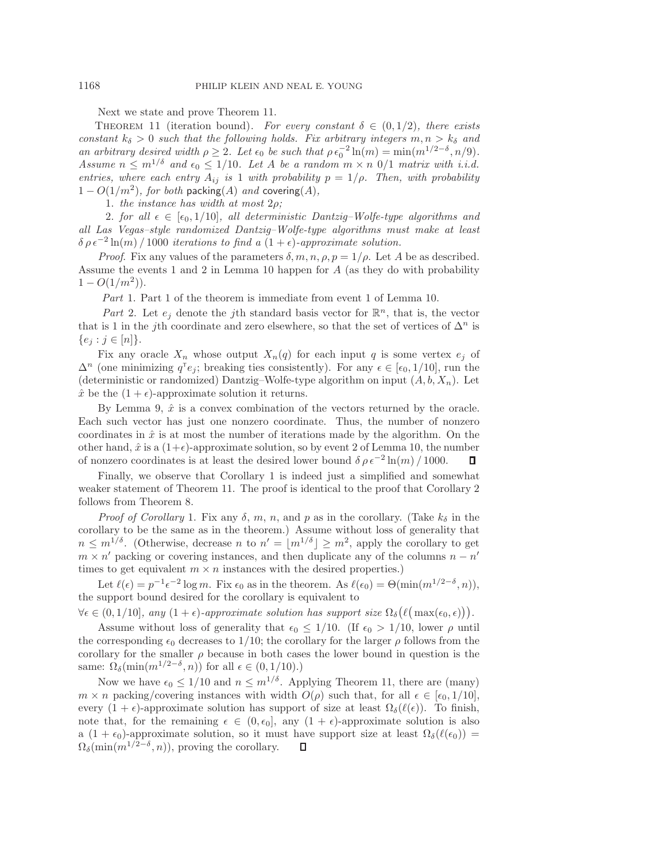Next we state and prove Theorem [11.](#page-14-0)

<span id="page-14-0"></span>THEOREM 11 (iteration bound). For every constant  $\delta \in (0,1/2)$ , there exists constant  $k_{\delta} > 0$  such that the following holds. Fix arbitrary integers  $m, n > k_{\delta}$  and an arbitrary desired width  $\rho \geq 2$ . Let  $\epsilon_0$  be such that  $\rho \epsilon_0^{-2} \ln(m) = \min(m^{1/2-\delta}, n/9)$ . Assume  $n \leq m^{1/\delta}$  and  $\epsilon_0 \leq 1/10$ . Let A be a random  $m \times n$  0/1 matrix with i.i.d. entries, where each entry  $A_{ij}$  is 1 with probability  $p = 1/\rho$ . Then, with probability  $1 - O(1/m^2)$ , for both packing(A) and covering(A),

1. the instance has width at most  $2\rho$ ;

2. for all  $\epsilon \in [\epsilon_0, 1/10]$ , all deterministic Dantzig–Wolfe-type algorithms and all Las Vegas–style randomized Dantzig–Wolfe-type algorithms must make at least  $\delta \rho \epsilon^{-2} \ln(m) / 1000$  iterations to find a  $(1 + \epsilon)$ -approximate solution.

*Proof.* Fix any values of the parameters  $\delta, m, n, \rho, p = 1/\rho$ . Let A be as described. Assume the events 1 and 2 in Lemma [10](#page-13-0) happen for A (as they do with probability  $1 - O(1/m^2)$ .

Part 1. Part 1 of the theorem is immediate from event 1 of Lemma [10.](#page-13-0)

Part 2. Let  $e_i$  denote the j<sup>th</sup> standard basis vector for  $\mathbb{R}^n$ , that is, the vector that is 1 in the jth coordinate and zero elsewhere, so that the set of vertices of  $\Delta^n$  is  ${e_j : j \in [n]}$ .

Fix any oracle  $X_n$  whose output  $X_n(q)$  for each input q is some vertex  $e_j$  of  $\Delta^n$  (one minimizing  $q^{\mathsf{T}}e_j$ ; breaking ties consistently). For any  $\epsilon \in [\epsilon_0, 1/10]$ , run the (deterministic or randomized) Dantzig–Wolfe-type algorithm on input  $(A, b, X_n)$ . Let  $\hat{x}$  be the  $(1 + \epsilon)$ -approximate solution it returns.

By Lemma [9,](#page-12-1)  $\hat{x}$  is a convex combination of the vectors returned by the oracle. Each such vector has just one nonzero coordinate. Thus, the number of nonzero coordinates in  $\hat{x}$  is at most the number of iterations made by the algorithm. On the other hand,  $\hat{x}$  is a  $(1+\epsilon)$ -approximate solution, so by event 2 of Lemma [10,](#page-13-0) the number of nonzero coordinates is at least the desired lower bound  $\delta \rho \epsilon^{-2} \ln(m) / 1000$ . П

Finally, we observe that Corollary [1](#page-2-2) is indeed just a simplified and somewhat weaker statement of Theorem [11.](#page-14-0) The proof is identical to the proof that Corollary [2](#page-6-4) follows from Theorem [8.](#page-10-0)

*Proof of Corollary* [1.](#page-2-2) Fix any  $\delta$ , m, n, and p as in the corollary. (Take  $k_{\delta}$  in the corollary to be the same as in the theorem.) Assume without loss of generality that  $n \leq m^{1/\delta}$ . (Otherwise, decrease n to  $n' = |m^{1/\delta}| \geq m^2$ , apply the corollary to get  $m \times n'$  packing or covering instances, and then duplicate any of the columns  $n - n'$ times to get equivalent  $m \times n$  instances with the desired properties.)

Let  $\ell(\epsilon) = p^{-1}\epsilon^{-2} \log m$ . Fix  $\epsilon_0$  as in the theorem. As  $\ell(\epsilon_0) = \Theta(\min(m^{1/2-\delta}, n)),$ the support bound desired for the corollary is equivalent to

 $\forall \epsilon \in (0, 1/10], \text{ any } (1 + \epsilon)\text{-approximate solution has support size } \Omega_{\delta}\big(\ell\big(\max(\epsilon_0, \epsilon)\big)\big).$ 

Assume without loss of generality that  $\epsilon_0 \leq 1/10$ . (If  $\epsilon_0 > 1/10$ , lower  $\rho$  until the corresponding  $\epsilon_0$  decreases to 1/10; the corollary for the larger  $\rho$  follows from the corollary for the smaller  $\rho$  because in both cases the lower bound in question is the same:  $\Omega_{\delta}(\min(m^{1/2-\delta}, n))$  for all  $\epsilon \in (0, 1/10)$ .)

Now we have  $\epsilon_0 \leq 1/10$  and  $n \leq m^{1/\delta}$ . Applying Theorem [11,](#page-14-0) there are (many)  $m \times n$  packing/covering instances with width  $O(\rho)$  such that, for all  $\epsilon \in [\epsilon_0, 1/10]$ , every  $(1 + \epsilon)$ -approximate solution has support of size at least  $\Omega_{\delta}(\ell(\epsilon))$ . To finish, note that, for the remaining  $\epsilon \in (0, \epsilon_0]$ , any  $(1 + \epsilon)$ -approximate solution is also a (1 +  $\epsilon_0$ )-approximate solution, so it must have support size at least  $\Omega_{\delta}(\ell(\epsilon_0))$  =  $\Omega_{\delta}(\min(m^{1/2-\delta}, n))$ , proving the corollary.  $\Box$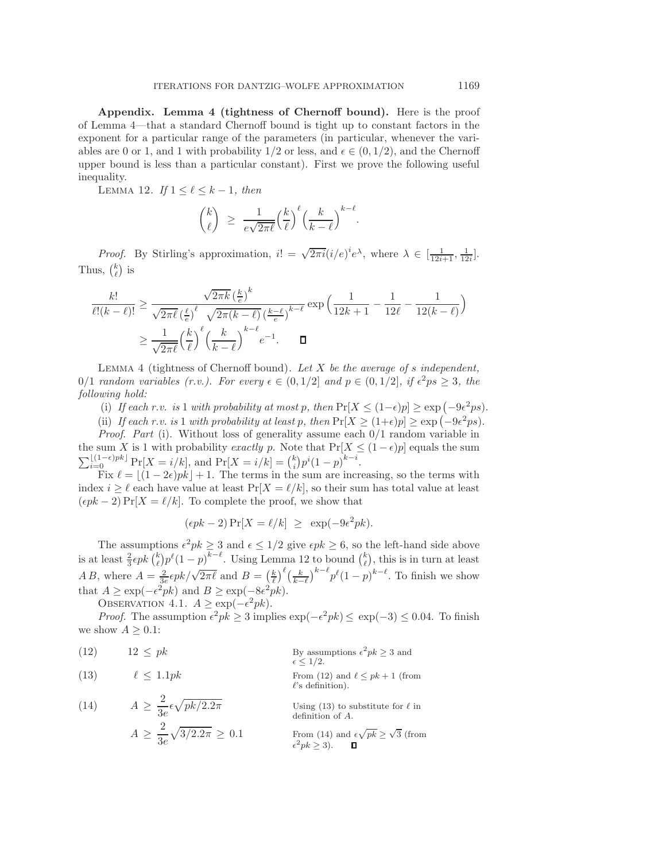Appendix. Lemma [4](#page-8-0) (tightness of Chernoff bound). Here is the proof of Lemma [4—](#page-8-0)that a standard Chernoff bound is tight up to constant factors in the exponent for a particular range of the parameters (in particular, whenever the variables are 0 or 1, and 1 with probability  $1/2$  or less, and  $\epsilon \in (0, 1/2)$ , and the Chernoff upper bound is less than a particular constant). First we prove the following useful inequality.

<span id="page-15-0"></span>LEMMA 12. If  $1 \leq \ell \leq k-1$ , then

$$
\binom{k}{\ell} \ \geq \ \frac{1}{e\sqrt{2\pi\ell}} \Big(\frac{k}{\ell}\Big)^{\ell} \Big(\frac{k}{k-\ell}\Big)^{k-\ell}.
$$

*Proof.* By Stirling's approximation,  $i! = \sqrt{2\pi i} (i/e)^{i} e^{\lambda}$ , where  $\lambda \in [\frac{1}{12i+1}, \frac{1}{12i}]$ . Thus,  $\binom{k}{\ell}$  is

$$
\frac{k!}{\ell!(k-\ell)!} \ge \frac{\sqrt{2\pi k} \left(\frac{k}{e}\right)^k}{\sqrt{2\pi \ell} \left(\frac{\ell}{e}\right)^{\ell} \sqrt{2\pi (k-\ell)} \left(\frac{k-\ell}{e}\right)^{k-\ell}} \exp\left(\frac{1}{12k+1} - \frac{1}{12\ell} - \frac{1}{12(k-\ell)}\right)
$$

$$
\ge \frac{1}{\sqrt{2\pi \ell}} \left(\frac{k}{\ell}\right)^{\ell} \left(\frac{k}{k-\ell}\right)^{k-\ell} e^{-1}.\qquad \Box
$$

LEMMA 4 (tightness of Chernoff bound). Let  $X$  be the average of s independent, 0/1 random variables (r.v.). For every  $\epsilon \in (0,1/2]$  and  $p \in (0,1/2]$ , if  $\epsilon^2 ps \geq 3$ , the following hold:

(i) If each r.v. is 1 with probability at most p, then  $Pr[X \leq (1-\epsilon)p] \geq \exp(-9\epsilon^2 ps)$ .

(ii) If each r.v. is 1 with probability at least p, then  $Pr[X \ge (1+\epsilon)p] \ge \exp(-9\epsilon^2 ps)$ .

*Proof.* Part (i). Without loss of generality assume each  $0/1$  random variable in the sum X is 1 with probability exactly p. Note that  $Pr[X \leq (1 - \epsilon)p]$  equals the sum  $\sum_{i=0}^{\lfloor (1-\epsilon)pk \rfloor} \Pr[X = i/k],$  and  $\Pr[X = i/k] = {k \choose i} p^{i} (1-p)^{k-i}.$ 

Fix  $\ell = \lfloor (1 - 2\epsilon)pk \rfloor + 1$ . The terms in the sum are increasing, so the terms with index  $i \geq \ell$  each have value at least  $Pr[X = \ell/k]$ , so their sum has total value at least  $(\epsilon pk - 2) \Pr[X = \ell/k]$ . To complete the proof, we show that

$$
(\epsilon pk - 2) \Pr[X = \ell/k] \ge \exp(-9\epsilon^2 pk).
$$

The assumptions  $\epsilon^2 p k \geq 3$  and  $\epsilon \leq 1/2$  give  $\epsilon p k \geq 6$ , so the left-hand side above is at least  $\frac{2}{3} \epsilon p k \binom{k}{\ell} p^{\ell} (1-p)^{k-\ell}$ . Using Lemma [12](#page-15-0) to bound  $\binom{k}{\ell}$ , this is in turn at least *A B*, where  $A = \frac{2}{3e} \epsilon pk / \sqrt{2\pi \ell}$  and  $B = \left(\frac{k}{\ell}\right)^{\ell} \left(\frac{k}{k-\ell}\right)^{k-\ell} p^{\ell} (1-p)^{k-\ell}$ . To finish we show that  $A \ge \exp(-\epsilon^2 pk)$  and  $B \ge \exp(-8\epsilon^2 pk)$ .

<span id="page-15-4"></span>OBSERVATION 4.1.  $A \geq \exp(-\epsilon^2 p k)$ .

*Proof.* The assumption  $\epsilon^2 p k \geq 3$  implies  $\exp(-\epsilon^2 p k) \leq \exp(-3) \leq 0.04$ . To finish we show  $A \geq 0.1$ :

 $\ell$ 's definition).

<span id="page-15-2"></span><span id="page-15-1"></span>(12) 
$$
12 \le pk
$$
 By assumptions  $\epsilon^2 pk \ge 3$  and  
\n $\epsilon \le 1/2$ .  
\n(13)  $\ell \le 1.1pk$  From (12) and  $\ell \le pk + 1$  (from  
\n $\ell$ ) of  $\epsilon$ 

<span id="page-15-3"></span>(14) 
$$
A \ge \frac{2}{3e} \epsilon \sqrt{pk/2.2\pi}
$$
 Using (13) to substitute for  $\ell$  in definition of  $A$ .  

$$
A \ge \frac{2}{3e} \sqrt{3/2.2\pi} \ge 0.1
$$
 From (14) and  $\epsilon \sqrt{pk} \ge \sqrt{3}$  (from  $\epsilon^2 pk \ge 3$ ).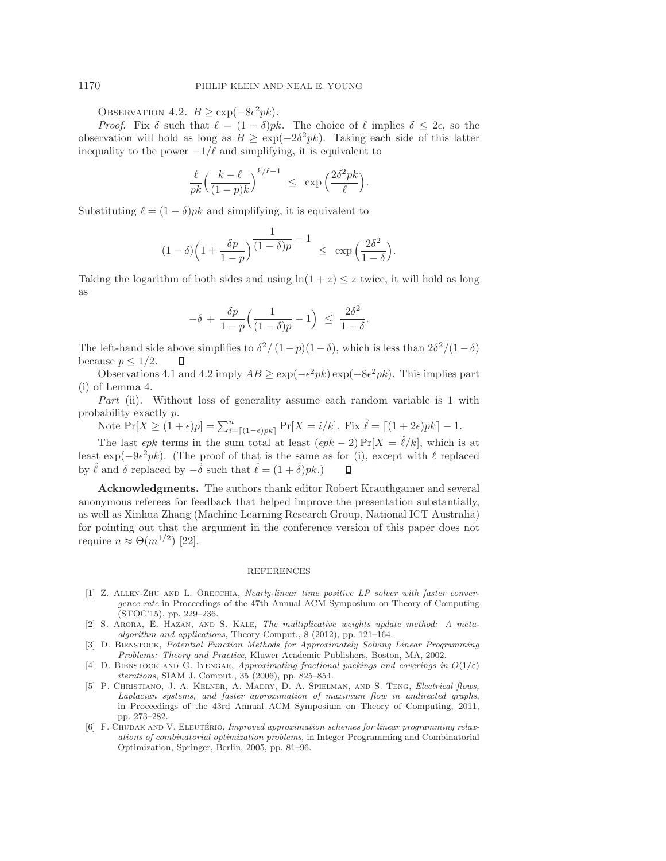OBSERVATION 4.2.  $B \geq \exp(-8\epsilon^2 p k)$ .

*Proof.* Fix  $\delta$  such that  $\ell = (1 - \delta)pk$ . The choice of  $\ell$  implies  $\delta \leq 2\epsilon$ , so the observation will hold as long as  $B \geq \exp(-2\delta^2 p k)$ . Taking each side of this latter inequality to the power  $-1/\ell$  and simplifying, it is equivalent to

$$
\frac{\ell}{pk} \Big( \frac{k-\ell}{(1-p)k} \Big)^{k/\ell-1} \ \leq \ \exp\Big( \frac{2\delta^2pk}{\ell} \Big).
$$

Substituting  $\ell = (1 - \delta)pk$  and simplifying, it is equivalent to

$$
(1 - \delta) \left( 1 + \frac{\delta p}{1 - p} \right) \frac{1}{(1 - \delta)p} - 1 \le \exp\left(\frac{2\delta^2}{1 - \delta}\right).
$$

Taking the logarithm of both sides and using  $\ln(1+z) \leq z$  twice, it will hold as long as

$$
-\delta\,+\,\frac{\delta p}{1-p}\Big(\frac{1}{(1-\delta)p}-1\Big)\;\leq\;\frac{2\delta^2}{1-\delta}.
$$

The left-hand side above simplifies to  $\delta^2/(1-p)(1-\delta)$ , which is less than  $2\delta^2/(1-\delta)$ because  $p \leq 1/2$ .

Observations [4.1](#page-15-4) and [4.2](#page-16-6) imply  $AB \geq \exp(-\epsilon^2 p k) \exp(-8\epsilon^2 p k)$ . This implies part (i) of Lemma [4.](#page-8-0)

Part (ii). Without loss of generality assume each random variable is 1 with probability exactly p.

Note  $Pr[X \ge (1+\epsilon)p] = \sum_{i=\lceil(1-\epsilon)pk\rceil}^{n} Pr[X = i/k]$ . Fix  $\hat{\ell} = \lceil(1+2\epsilon)pk\rceil - 1$ .

The last  $\epsilon pk$  terms in the sum total at least  $(\epsilon pk - 2) \Pr[X = \ell/k]$ , which is at least  $\exp(-9\epsilon^2 p k)$ . (The proof of that is the same as for (i), except with  $\ell$  replaced by  $\hat{\ell}$  and  $\delta$  replaced by  $-\hat{\delta}$  such that  $\hat{\ell} = (1 + \hat{\delta})pk$ .) П

Acknowledgments. The authors thank editor Robert Krauthgamer and several anonymous referees for feedback that helped improve the presentation substantially, as well as Xinhua Zhang (Machine Learning Research Group, National ICT Australia) for pointing out that the argument in the conference version of this paper does not require  $n \approx \Theta(m^{1/2})$  [\[22\]](#page-17-12).

#### REFERENCES

- <span id="page-16-4"></span>[1] Z. Allen-Zhu and L. Orecchia, Nearly-linear time positive LP solver with faster convergence rate in Proceedings of the 47th Annual ACM Symposium on Theory of Computing (STOC'15), pp. 229–236.
- <span id="page-16-1"></span>[2] S. Arora, E. Hazan, and S. Kale, The multiplicative weights update method: A metaalgorithm and applications, Theory Comput., 8 (2012), pp. 121–164.
- <span id="page-16-0"></span>[3] D. Bienstock, Potential Function Methods for Approximately Solving Linear Programming Problems: Theory and Practice, Kluwer Academic Publishers, Boston, MA, 2002.
- <span id="page-16-3"></span>[4] D. BIENSTOCK AND G. IYENGAR, Approximating fractional packings and coverings in  $O(1/\varepsilon)$ iterations, SIAM J. Comput., 35 (2006), pp. 825–854.
- <span id="page-16-5"></span>[5] P. Christiano, J. A. Kelner, A. Madry, D. A. Spielman, and S. Teng, Electrical flows, Laplacian systems, and faster approximation of maximum flow in undirected graphs, in Proceedings of the 43rd Annual ACM Symposium on Theory of Computing, 2011, pp. 273–282.
- <span id="page-16-2"></span>[6] F. CHUDAK AND V. ELEUTÉRIO, Improved approximation schemes for linear programming relaxations of combinatorial optimization problems, in Integer Programming and Combinatorial Optimization, Springer, Berlin, 2005, pp. 81–96.

<span id="page-16-6"></span>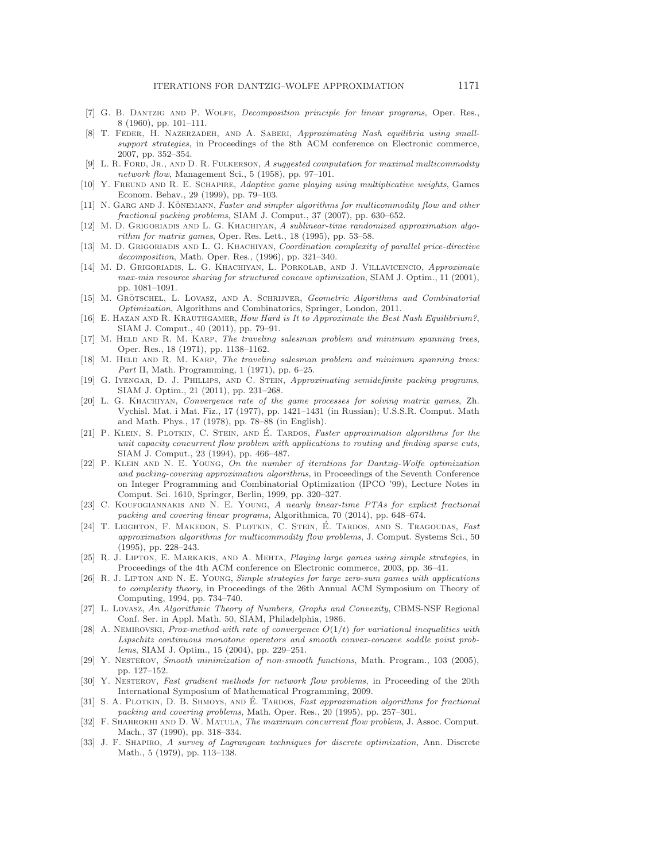- <span id="page-17-1"></span>[7] G. B. Dantzig and P. Wolfe, Decomposition principle for linear programs, Oper. Res., 8 (1960), pp. 101–111.
- <span id="page-17-25"></span>[8] T. Feder, H. Nazerzadeh, and A. Saberi, Approximating Nash equilibria using smallsupport strategies, in Proceedings of the 8th ACM conference on Electronic commerce, 2007, pp. 352–354.
- <span id="page-17-0"></span>[9] L. R. FORD, JR., AND D. R. FULKERSON, A suggested computation for maximal multicommodity network flow, Management Sci., 5 (1958), pp. 97–101.
- <span id="page-17-20"></span>[10] Y. Freund and R. E. Schapire, Adaptive game playing using multiplicative weights, Games Econom. Behav., 29 (1999), pp. 79–103.
- <span id="page-17-10"></span>[11] N. GARG AND J. KÖNEMANN, Faster and simpler algorithms for multicommodity flow and other fractional packing problems, SIAM J. Comput., 37 (2007), pp. 630–652.
- <span id="page-17-21"></span>[12] M. D. GRIGORIADIS AND L. G. KHACHIYAN, A sublinear-time randomized approximation algorithm for matrix games, Oper. Res. Lett., 18 (1995), pp. 53–58.
- <span id="page-17-9"></span>[13] M. D. GRIGORIADIS AND L. G. KHACHIYAN, Coordination complexity of parallel price-directive decomposition, Math. Oper. Res., (1996), pp. 321–340.
- <span id="page-17-11"></span>[14] M. D. Grigoriadis, L. G. Khachiyan, L. Porkolab, and J. Villavicencio, Approximate max-min resource sharing for structured concave optimization, SIAM J. Optim., 11 (2001), pp. 1081–1091.
- <span id="page-17-18"></span>[15] M. GRÖTSCHEL, L. LOVASZ, AND A. SCHRIJVER, Geometric Algorithms and Combinatorial Optimization, Algorithms and Combinatorics, Springer, London, 2011.
- <span id="page-17-26"></span>[16] E. HAZAN AND R. KRAUTHGAMER, How Hard is It to Approximate the Best Nash Equilibrium?, SIAM J. Comput., 40 (2011), pp. 79–91.
- <span id="page-17-2"></span>[17] M. HELD AND R. M. KARP, The traveling salesman problem and minimum spanning trees, Oper. Res., 18 (1971), pp. 1138–1162.
- <span id="page-17-3"></span>[18] M. HELD AND R. M. KARP, The traveling salesman problem and minimum spanning trees: Part II, Math. Programming, 1 (1971), pp. 6–25.
- <span id="page-17-13"></span>[19] G. Iyengar, D. J. Phillips, and C. Stein, Approximating semidefinite packing programs, SIAM J. Optim., 21 (2011), pp. 231–268.
- <span id="page-17-19"></span>[20] L. G. Khachiyan, Convergence rate of the game processes for solving matrix games, Zh. Vychisl. Mat. i Mat. Fiz., 17 (1977), pp. 1421–1431 (in Russian); U.S.S.R. Comput. Math and Math. Phys., 17 (1978), pp. 78–88 (in English).
- <span id="page-17-6"></span>[21] P. KLEIN, S. PLOTKIN, C. STEIN, AND E. TARDOS, Faster approximation algorithms for the unit capacity concurrent flow problem with applications to routing and finding sparse cuts, SIAM J. Comput., 23 (1994), pp. 466–487.
- <span id="page-17-12"></span>[22] P. Klein and N. E. Young, On the number of iterations for Dantzig-Wolfe optimization and packing-covering approximation algorithms, in Proceedings of the Seventh Conference on Integer Programming and Combinatorial Optimization (IPCO '99), Lecture Notes in Comput. Sci. 1610, Springer, Berlin, 1999, pp. 320–327.
- <span id="page-17-22"></span>[23] C. KOUFOGIANNAKIS AND N. E. YOUNG, A nearly linear-time PTAs for explicit fractional packing and covering linear programs, Algorithmica, 70 (2014), pp. 648–674.
- <span id="page-17-7"></span>[24] T. LEIGHTON, F. MAKEDON, S. PLOTKIN, C. STEIN, É. TARDOS, AND S. TRAGOUDAS, Fast approximation algorithms for multicommodity flow problems, J. Comput. Systems Sci., 50 (1995), pp. 228–243.
- <span id="page-17-24"></span>[25] R. J. Lipton, E. Markakis, and A. Mehta, Playing large games using simple strategies, in Proceedings of the 4th ACM conference on Electronic commerce, 2003, pp. 36–41.
- <span id="page-17-23"></span>[26] R. J. Lipton and N. E. Young, Simple strategies for large zero-sum games with applications to complexity theory, in Proceedings of the 26th Annual ACM Symposium on Theory of Computing, 1994, pp. 734–740.
- <span id="page-17-17"></span>[27] L. Lovasz, An Algorithmic Theory of Numbers, Graphs and Convexity, CBMS-NSF Regional Conf. Ser. in Appl. Math. 50, SIAM, Philadelphia, 1986.
- <span id="page-17-16"></span>[28] A. NEMIROVSKI, Prox-method with rate of convergence  $O(1/t)$  for variational inequalities with Lipschitz continuous monotone operators and smooth convex-concave saddle point problems, SIAM J. Optim., 15 (2004), pp. 229–251.
- <span id="page-17-15"></span>[29] Y. Nesterov, Smooth minimization of non-smooth functions, Math. Program., 103 (2005), pp. 127–152.
- <span id="page-17-14"></span>[30] Y. NESTEROV, Fast gradient methods for network flow problems, in Proceeding of the 20th International Symposium of Mathematical Programming, 2009.
- <span id="page-17-8"></span>[31] S. A. PLOTKIN, D. B. SHMOYS, AND É. TARDOS, Fast approximation algorithms for fractional packing and covering problems, Math. Oper. Res., 20 (1995), pp. 257–301.
- <span id="page-17-5"></span>[32] F. SHAHROKHI AND D. W. MATULA, The maximum concurrent flow problem, J. Assoc. Comput. Mach., 37 (1990), pp. 318–334.
- <span id="page-17-4"></span>[33] J. F. Shapiro, A survey of Lagrangean techniques for discrete optimization, Ann. Discrete Math., 5 (1979), pp. 113–138.